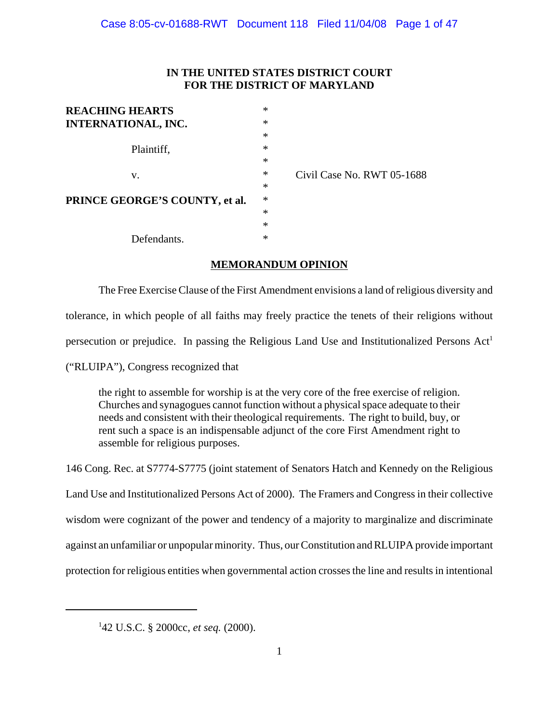# **IN THE UNITED STATES DISTRICT COURT FOR THE DISTRICT OF MARYLAND**

| <b>REACHING HEARTS</b>         | * |
|--------------------------------|---|
| <b>INTERNATIONAL, INC.</b>     | * |
|                                | * |
| Plaintiff,                     | * |
|                                | * |
| v.                             | * |
|                                | * |
| PRINCE GEORGE'S COUNTY, et al. | * |
|                                | * |
|                                | * |
| Defendants.                    | * |

Civil Case No. RWT 05-1688

## **MEMORANDUM OPINION**

The Free Exercise Clause of the First Amendment envisions a land of religious diversity and tolerance, in which people of all faiths may freely practice the tenets of their religions without persecution or prejudice. In passing the Religious Land Use and Institutionalized Persons Act<sup>1</sup>

("RLUIPA"), Congress recognized that

the right to assemble for worship is at the very core of the free exercise of religion. Churches and synagogues cannot function without a physical space adequate to their needs and consistent with their theological requirements. The right to build, buy, or rent such a space is an indispensable adjunct of the core First Amendment right to assemble for religious purposes.

146 Cong. Rec. at S7774-S7775 (joint statement of Senators Hatch and Kennedy on the Religious Land Use and Institutionalized Persons Act of 2000). The Framers and Congress in their collective wisdom were cognizant of the power and tendency of a majority to marginalize and discriminate against an unfamiliar or unpopular minority. Thus, our Constitution and RLUIPA provide important protection for religious entities when governmental action crosses the line and results in intentional

<sup>1</sup> 42 U.S.C. § 2000cc, *et seq.* (2000).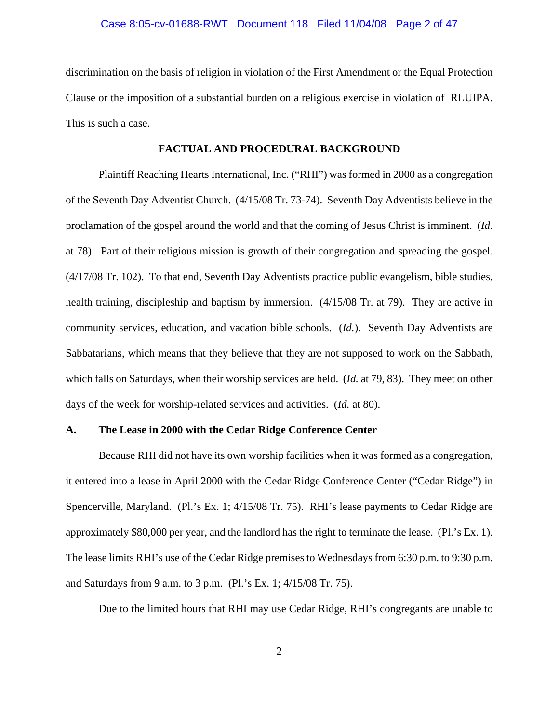### Case 8:05-cv-01688-RWT Document 118 Filed 11/04/08 Page 2 of 47

discrimination on the basis of religion in violation of the First Amendment or the Equal Protection Clause or the imposition of a substantial burden on a religious exercise in violation of RLUIPA. This is such a case.

#### **FACTUAL AND PROCEDURAL BACKGROUND**

Plaintiff Reaching Hearts International, Inc. ("RHI") was formed in 2000 as a congregation of the Seventh Day Adventist Church. (4/15/08 Tr. 73-74). Seventh Day Adventists believe in the proclamation of the gospel around the world and that the coming of Jesus Christ is imminent. (*Id.* at 78). Part of their religious mission is growth of their congregation and spreading the gospel. (4/17/08 Tr. 102). To that end, Seventh Day Adventists practice public evangelism, bible studies, health training, discipleship and baptism by immersion.  $(4/15/08 \text{ Tr. at } 79)$ . They are active in community services, education, and vacation bible schools. (*Id.*). Seventh Day Adventists are Sabbatarians, which means that they believe that they are not supposed to work on the Sabbath, which falls on Saturdays, when their worship services are held. (*Id.* at 79, 83). They meet on other days of the week for worship-related services and activities. (*Id.* at 80).

### **A. The Lease in 2000 with the Cedar Ridge Conference Center**

Because RHI did not have its own worship facilities when it was formed as a congregation, it entered into a lease in April 2000 with the Cedar Ridge Conference Center ("Cedar Ridge") in Spencerville, Maryland. (Pl.'s Ex. 1; 4/15/08 Tr. 75). RHI's lease payments to Cedar Ridge are approximately \$80,000 per year, and the landlord has the right to terminate the lease. (Pl.'s Ex. 1). The lease limits RHI's use of the Cedar Ridge premises to Wednesdays from 6:30 p.m. to 9:30 p.m. and Saturdays from 9 a.m. to 3 p.m. (Pl.'s Ex. 1; 4/15/08 Tr. 75).

Due to the limited hours that RHI may use Cedar Ridge, RHI's congregants are unable to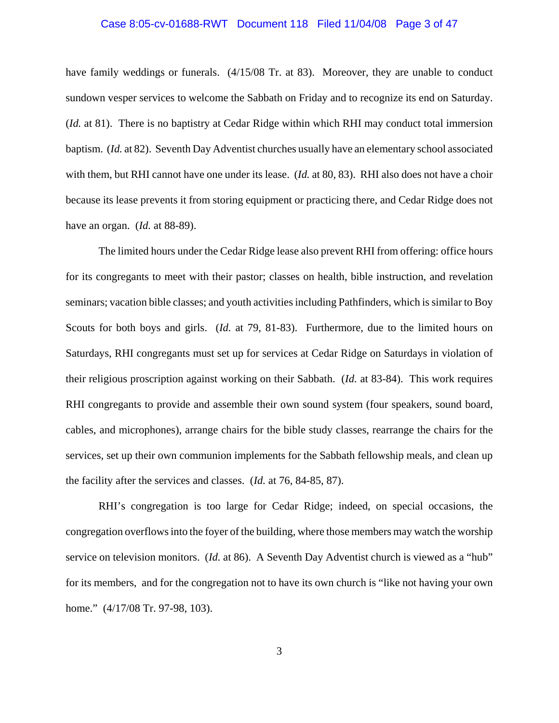### Case 8:05-cv-01688-RWT Document 118 Filed 11/04/08 Page 3 of 47

have family weddings or funerals. (4/15/08 Tr. at 83). Moreover, they are unable to conduct sundown vesper services to welcome the Sabbath on Friday and to recognize its end on Saturday. (*Id.* at 81). There is no baptistry at Cedar Ridge within which RHI may conduct total immersion baptism. (*Id.* at 82). Seventh Day Adventist churches usually have an elementary school associated with them, but RHI cannot have one under its lease. (*Id.* at 80, 83). RHI also does not have a choir because its lease prevents it from storing equipment or practicing there, and Cedar Ridge does not have an organ. (*Id.* at 88-89).

The limited hours under the Cedar Ridge lease also prevent RHI from offering: office hours for its congregants to meet with their pastor; classes on health, bible instruction, and revelation seminars; vacation bible classes; and youth activities including Pathfinders, which is similar to Boy Scouts for both boys and girls. (*Id.* at 79, 81-83). Furthermore, due to the limited hours on Saturdays, RHI congregants must set up for services at Cedar Ridge on Saturdays in violation of their religious proscription against working on their Sabbath. (*Id.* at 83-84). This work requires RHI congregants to provide and assemble their own sound system (four speakers, sound board, cables, and microphones), arrange chairs for the bible study classes, rearrange the chairs for the services, set up their own communion implements for the Sabbath fellowship meals, and clean up the facility after the services and classes. (*Id.* at 76, 84-85, 87).

RHI's congregation is too large for Cedar Ridge; indeed, on special occasions, the congregation overflows into the foyer of the building, where those members may watch the worship service on television monitors. (*Id.* at 86). A Seventh Day Adventist church is viewed as a "hub" for its members, and for the congregation not to have its own church is "like not having your own home." (4/17/08 Tr. 97-98, 103).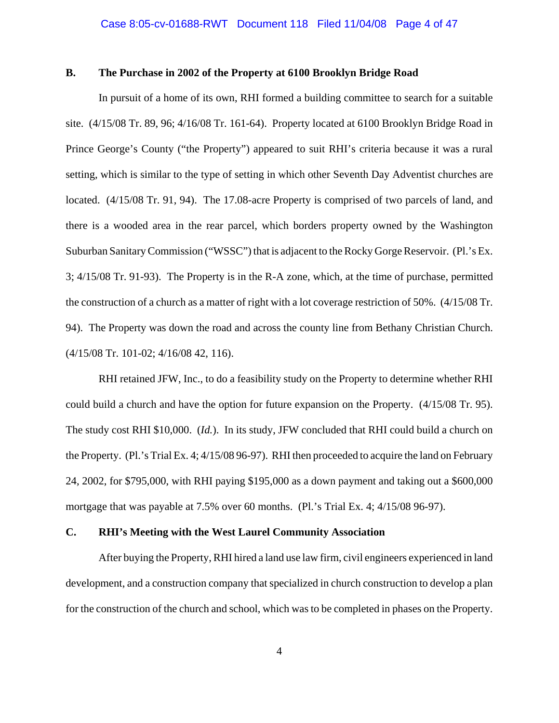## **B. The Purchase in 2002 of the Property at 6100 Brooklyn Bridge Road**

In pursuit of a home of its own, RHI formed a building committee to search for a suitable site. (4/15/08 Tr. 89, 96; 4/16/08 Tr. 161-64). Property located at 6100 Brooklyn Bridge Road in Prince George's County ("the Property") appeared to suit RHI's criteria because it was a rural setting, which is similar to the type of setting in which other Seventh Day Adventist churches are located. (4/15/08 Tr. 91, 94). The 17.08-acre Property is comprised of two parcels of land, and there is a wooded area in the rear parcel, which borders property owned by the Washington Suburban Sanitary Commission ("WSSC") that is adjacent to the Rocky Gorge Reservoir. (Pl.'s Ex. 3; 4/15/08 Tr. 91-93). The Property is in the R-A zone, which, at the time of purchase, permitted the construction of a church as a matter of right with a lot coverage restriction of 50%. (4/15/08 Tr. 94). The Property was down the road and across the county line from Bethany Christian Church. (4/15/08 Tr. 101-02; 4/16/08 42, 116).

RHI retained JFW, Inc., to do a feasibility study on the Property to determine whether RHI could build a church and have the option for future expansion on the Property. (4/15/08 Tr. 95). The study cost RHI \$10,000. (*Id.*). In its study, JFW concluded that RHI could build a church on the Property. (Pl.'s Trial Ex. 4; 4/15/08 96-97). RHI then proceeded to acquire the land on February 24, 2002, for \$795,000, with RHI paying \$195,000 as a down payment and taking out a \$600,000 mortgage that was payable at 7.5% over 60 months. (Pl.'s Trial Ex. 4; 4/15/08 96-97).

### **C. RHI's Meeting with the West Laurel Community Association**

After buying the Property, RHI hired a land use law firm, civil engineers experienced in land development, and a construction company that specialized in church construction to develop a plan for the construction of the church and school, which was to be completed in phases on the Property.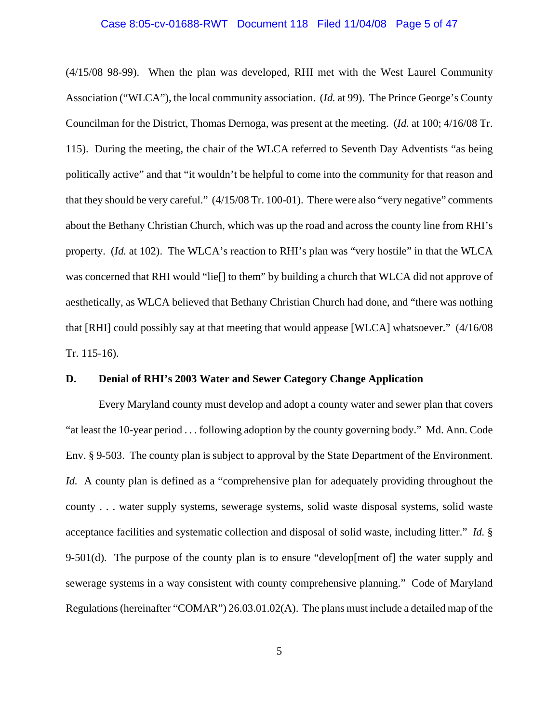### Case 8:05-cv-01688-RWT Document 118 Filed 11/04/08 Page 5 of 47

(4/15/08 98-99). When the plan was developed, RHI met with the West Laurel Community Association ("WLCA"), the local community association. (*Id.* at 99). The Prince George's County Councilman for the District, Thomas Dernoga, was present at the meeting. (*Id.* at 100; 4/16/08 Tr. 115). During the meeting, the chair of the WLCA referred to Seventh Day Adventists "as being politically active" and that "it wouldn't be helpful to come into the community for that reason and that they should be very careful." (4/15/08 Tr. 100-01). There were also "very negative" comments about the Bethany Christian Church, which was up the road and across the county line from RHI's property. (*Id.* at 102). The WLCA's reaction to RHI's plan was "very hostile" in that the WLCA was concerned that RHI would "lie[] to them" by building a church that WLCA did not approve of aesthetically, as WLCA believed that Bethany Christian Church had done, and "there was nothing that [RHI] could possibly say at that meeting that would appease [WLCA] whatsoever." (4/16/08 Tr. 115-16).

### **D. Denial of RHI's 2003 Water and Sewer Category Change Application**

Every Maryland county must develop and adopt a county water and sewer plan that covers "at least the 10-year period . . . following adoption by the county governing body." Md. Ann. Code Env. § 9-503. The county plan is subject to approval by the State Department of the Environment. *Id.* A county plan is defined as a "comprehensive plan for adequately providing throughout the county . . . water supply systems, sewerage systems, solid waste disposal systems, solid waste acceptance facilities and systematic collection and disposal of solid waste, including litter." *Id.* § 9-501(d). The purpose of the county plan is to ensure "develop [ment of] the water supply and sewerage systems in a way consistent with county comprehensive planning." Code of Maryland Regulations (hereinafter "COMAR") 26.03.01.02(A). The plans must include a detailed map of the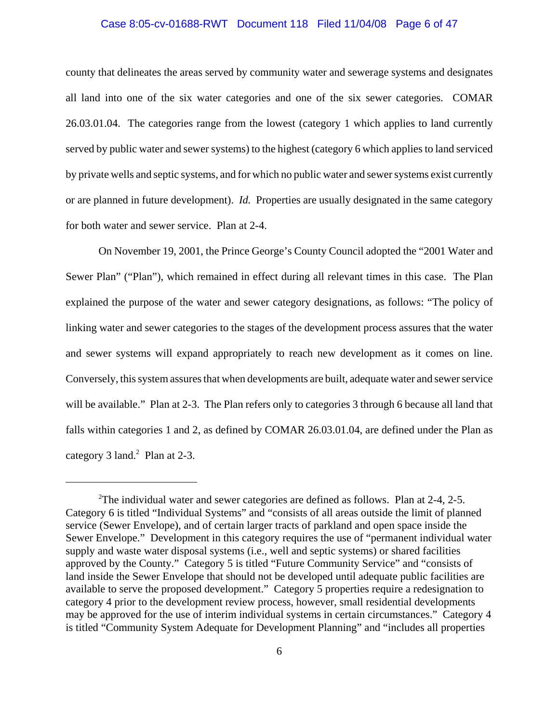### Case 8:05-cv-01688-RWT Document 118 Filed 11/04/08 Page 6 of 47

county that delineates the areas served by community water and sewerage systems and designates all land into one of the six water categories and one of the six sewer categories. COMAR 26.03.01.04. The categories range from the lowest (category 1 which applies to land currently served by public water and sewer systems) to the highest (category 6 which applies to land serviced by private wells and septic systems, and for which no public water and sewer systems exist currently or are planned in future development). *Id.* Properties are usually designated in the same category for both water and sewer service. Plan at 2-4.

On November 19, 2001, the Prince George's County Council adopted the "2001 Water and Sewer Plan" ("Plan"), which remained in effect during all relevant times in this case. The Plan explained the purpose of the water and sewer category designations, as follows: "The policy of linking water and sewer categories to the stages of the development process assures that the water and sewer systems will expand appropriately to reach new development as it comes on line. Conversely, this system assures that when developments are built, adequate water and sewer service will be available." Plan at 2-3. The Plan refers only to categories 3 through 6 because all land that falls within categories 1 and 2, as defined by COMAR 26.03.01.04, are defined under the Plan as category  $3$  land.<sup>2</sup> Plan at 2-3.

<sup>&</sup>lt;sup>2</sup>The individual water and sewer categories are defined as follows. Plan at 2-4, 2-5. Category 6 is titled "Individual Systems" and "consists of all areas outside the limit of planned service (Sewer Envelope), and of certain larger tracts of parkland and open space inside the Sewer Envelope." Development in this category requires the use of "permanent individual water supply and waste water disposal systems (i.e., well and septic systems) or shared facilities approved by the County." Category 5 is titled "Future Community Service" and "consists of land inside the Sewer Envelope that should not be developed until adequate public facilities are available to serve the proposed development." Category 5 properties require a redesignation to category 4 prior to the development review process, however, small residential developments may be approved for the use of interim individual systems in certain circumstances." Category 4 is titled "Community System Adequate for Development Planning" and "includes all properties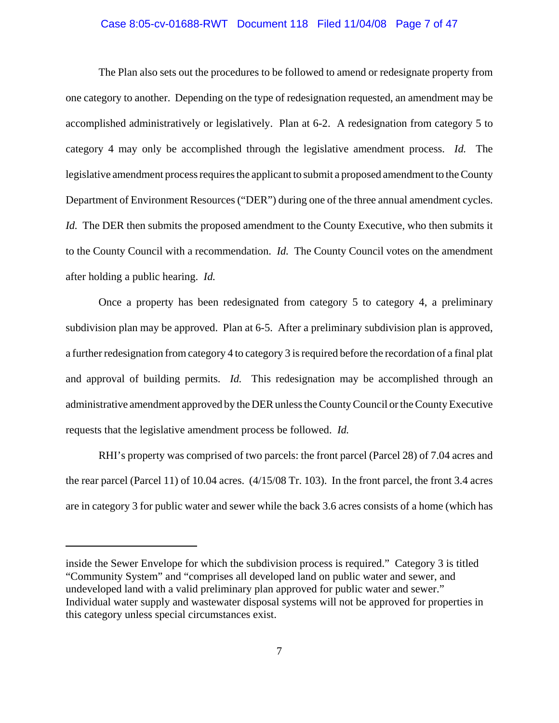### Case 8:05-cv-01688-RWT Document 118 Filed 11/04/08 Page 7 of 47

The Plan also sets out the procedures to be followed to amend or redesignate property from one category to another. Depending on the type of redesignation requested, an amendment may be accomplished administratively or legislatively. Plan at 6-2. A redesignation from category 5 to category 4 may only be accomplished through the legislative amendment process. *Id.* The legislative amendment process requires the applicant to submit a proposed amendment to the County Department of Environment Resources ("DER") during one of the three annual amendment cycles. *Id.* The DER then submits the proposed amendment to the County Executive, who then submits it to the County Council with a recommendation. *Id.* The County Council votes on the amendment after holding a public hearing. *Id.*

Once a property has been redesignated from category 5 to category 4, a preliminary subdivision plan may be approved. Plan at 6-5. After a preliminary subdivision plan is approved, a further redesignation from category 4 to category 3 is required before the recordation of a final plat and approval of building permits. *Id.* This redesignation may be accomplished through an administrative amendment approved by the DER unless the County Council or the County Executive requests that the legislative amendment process be followed. *Id.*

RHI's property was comprised of two parcels: the front parcel (Parcel 28) of 7.04 acres and the rear parcel (Parcel 11) of 10.04 acres. (4/15/08 Tr. 103). In the front parcel, the front 3.4 acres are in category 3 for public water and sewer while the back 3.6 acres consists of a home (which has

inside the Sewer Envelope for which the subdivision process is required." Category 3 is titled "Community System" and "comprises all developed land on public water and sewer, and undeveloped land with a valid preliminary plan approved for public water and sewer." Individual water supply and wastewater disposal systems will not be approved for properties in this category unless special circumstances exist.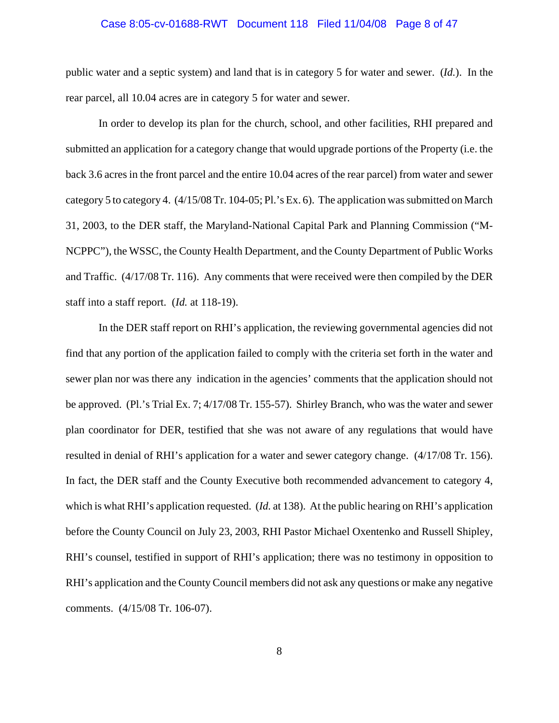### Case 8:05-cv-01688-RWT Document 118 Filed 11/04/08 Page 8 of 47

public water and a septic system) and land that is in category 5 for water and sewer. (*Id.*). In the rear parcel, all 10.04 acres are in category 5 for water and sewer.

In order to develop its plan for the church, school, and other facilities, RHI prepared and submitted an application for a category change that would upgrade portions of the Property (i.e. the back 3.6 acres in the front parcel and the entire 10.04 acres of the rear parcel) from water and sewer category 5 to category 4. (4/15/08 Tr. 104-05; Pl.'s Ex. 6). The application was submitted on March 31, 2003, to the DER staff, the Maryland-National Capital Park and Planning Commission ("M-NCPPC"), the WSSC, the County Health Department, and the County Department of Public Works and Traffic. (4/17/08 Tr. 116). Any comments that were received were then compiled by the DER staff into a staff report. (*Id.* at 118-19).

In the DER staff report on RHI's application, the reviewing governmental agencies did not find that any portion of the application failed to comply with the criteria set forth in the water and sewer plan nor was there any indication in the agencies' comments that the application should not be approved. (Pl.'s Trial Ex. 7; 4/17/08 Tr. 155-57). Shirley Branch, who was the water and sewer plan coordinator for DER, testified that she was not aware of any regulations that would have resulted in denial of RHI's application for a water and sewer category change. (4/17/08 Tr. 156). In fact, the DER staff and the County Executive both recommended advancement to category 4, which is what RHI's application requested. (*Id.* at 138). At the public hearing on RHI's application before the County Council on July 23, 2003, RHI Pastor Michael Oxentenko and Russell Shipley, RHI's counsel, testified in support of RHI's application; there was no testimony in opposition to RHI's application and the County Council members did not ask any questions or make any negative comments. (4/15/08 Tr. 106-07).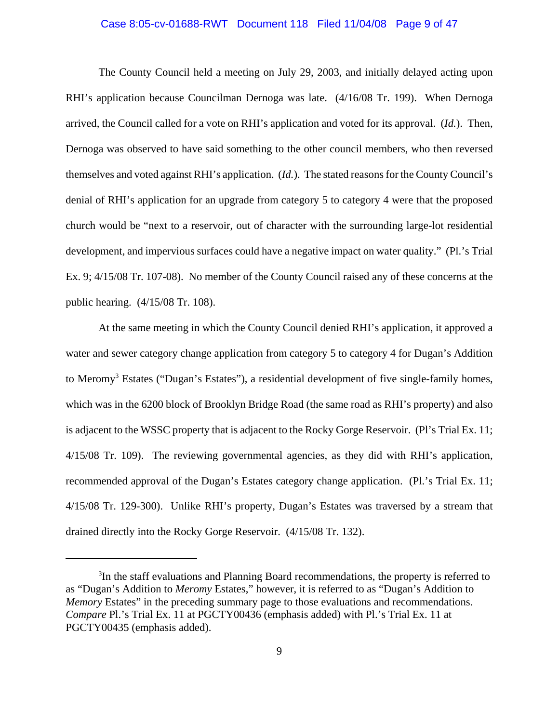### Case 8:05-cv-01688-RWT Document 118 Filed 11/04/08 Page 9 of 47

The County Council held a meeting on July 29, 2003, and initially delayed acting upon RHI's application because Councilman Dernoga was late. (4/16/08 Tr. 199). When Dernoga arrived, the Council called for a vote on RHI's application and voted for its approval. (*Id.*). Then, Dernoga was observed to have said something to the other council members, who then reversed themselves and voted against RHI's application. (*Id.*). The stated reasons for the County Council's denial of RHI's application for an upgrade from category 5 to category 4 were that the proposed church would be "next to a reservoir, out of character with the surrounding large-lot residential development, and impervious surfaces could have a negative impact on water quality." (Pl.'s Trial Ex. 9; 4/15/08 Tr. 107-08). No member of the County Council raised any of these concerns at the public hearing. (4/15/08 Tr. 108).

At the same meeting in which the County Council denied RHI's application, it approved a water and sewer category change application from category 5 to category 4 for Dugan's Addition to Meromy<sup>3</sup> Estates ("Dugan's Estates"), a residential development of five single-family homes, which was in the 6200 block of Brooklyn Bridge Road (the same road as RHI's property) and also is adjacent to the WSSC property that is adjacent to the Rocky Gorge Reservoir. (Pl's Trial Ex. 11; 4/15/08 Tr. 109). The reviewing governmental agencies, as they did with RHI's application, recommended approval of the Dugan's Estates category change application. (Pl.'s Trial Ex. 11; 4/15/08 Tr. 129-300). Unlike RHI's property, Dugan's Estates was traversed by a stream that drained directly into the Rocky Gorge Reservoir. (4/15/08 Tr. 132).

<sup>&</sup>lt;sup>3</sup>In the staff evaluations and Planning Board recommendations, the property is referred to as "Dugan's Addition to *Meromy* Estates," however, it is referred to as "Dugan's Addition to *Memory* Estates" in the preceding summary page to those evaluations and recommendations. *Compare* Pl.'s Trial Ex. 11 at PGCTY00436 (emphasis added) with Pl.'s Trial Ex. 11 at PGCTY00435 (emphasis added).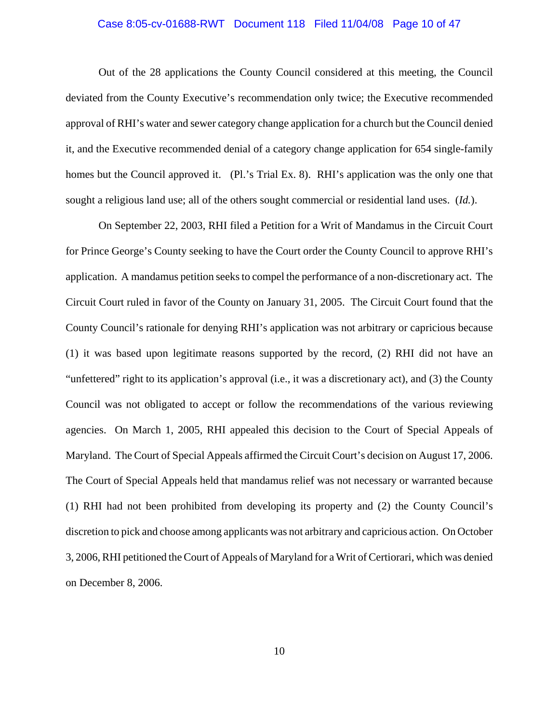### Case 8:05-cv-01688-RWT Document 118 Filed 11/04/08 Page 10 of 47

Out of the 28 applications the County Council considered at this meeting, the Council deviated from the County Executive's recommendation only twice; the Executive recommended approval of RHI's water and sewer category change application for a church but the Council denied it, and the Executive recommended denial of a category change application for 654 single-family homes but the Council approved it. (Pl.'s Trial Ex. 8). RHI's application was the only one that sought a religious land use; all of the others sought commercial or residential land uses. (*Id.*).

On September 22, 2003, RHI filed a Petition for a Writ of Mandamus in the Circuit Court for Prince George's County seeking to have the Court order the County Council to approve RHI's application. A mandamus petition seeks to compel the performance of a non-discretionary act. The Circuit Court ruled in favor of the County on January 31, 2005. The Circuit Court found that the County Council's rationale for denying RHI's application was not arbitrary or capricious because (1) it was based upon legitimate reasons supported by the record, (2) RHI did not have an "unfettered" right to its application's approval (i.e., it was a discretionary act), and (3) the County Council was not obligated to accept or follow the recommendations of the various reviewing agencies. On March 1, 2005, RHI appealed this decision to the Court of Special Appeals of Maryland. The Court of Special Appeals affirmed the Circuit Court's decision on August 17, 2006. The Court of Special Appeals held that mandamus relief was not necessary or warranted because (1) RHI had not been prohibited from developing its property and (2) the County Council's discretion to pick and choose among applicants was not arbitrary and capricious action. On October 3, 2006, RHI petitioned the Court of Appeals of Maryland for a Writ of Certiorari, which was denied on December 8, 2006.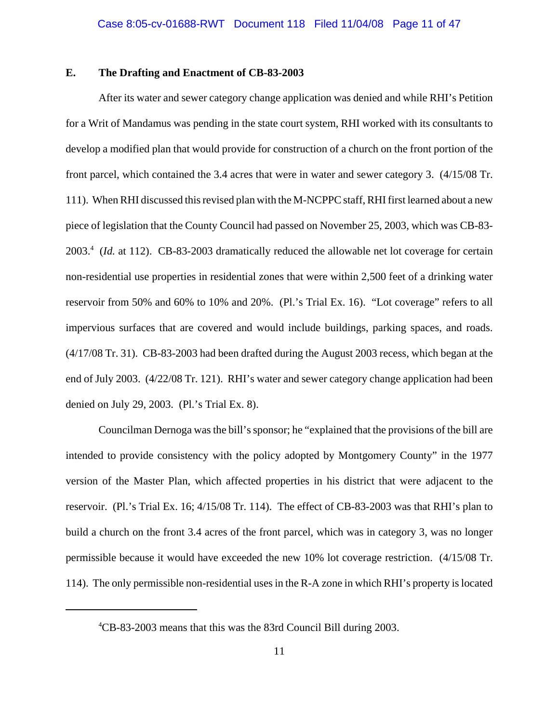## **E. The Drafting and Enactment of CB-83-2003**

After its water and sewer category change application was denied and while RHI's Petition for a Writ of Mandamus was pending in the state court system, RHI worked with its consultants to develop a modified plan that would provide for construction of a church on the front portion of the front parcel, which contained the 3.4 acres that were in water and sewer category 3. (4/15/08 Tr. 111). When RHI discussed this revised plan with the M-NCPPC staff, RHI first learned about a new piece of legislation that the County Council had passed on November 25, 2003, which was CB-83- 2003.4 (*Id.* at 112). CB-83-2003 dramatically reduced the allowable net lot coverage for certain non-residential use properties in residential zones that were within 2,500 feet of a drinking water reservoir from 50% and 60% to 10% and 20%. (Pl.'s Trial Ex. 16). "Lot coverage" refers to all impervious surfaces that are covered and would include buildings, parking spaces, and roads. (4/17/08 Tr. 31). CB-83-2003 had been drafted during the August 2003 recess, which began at the end of July 2003. (4/22/08 Tr. 121). RHI's water and sewer category change application had been denied on July 29, 2003. (Pl.'s Trial Ex. 8).

Councilman Dernoga was the bill's sponsor; he "explained that the provisions of the bill are intended to provide consistency with the policy adopted by Montgomery County" in the 1977 version of the Master Plan, which affected properties in his district that were adjacent to the reservoir. (Pl.'s Trial Ex. 16; 4/15/08 Tr. 114). The effect of CB-83-2003 was that RHI's plan to build a church on the front 3.4 acres of the front parcel, which was in category 3, was no longer permissible because it would have exceeded the new 10% lot coverage restriction. (4/15/08 Tr. 114). The only permissible non-residential uses in the R-A zone in which RHI's property is located

<sup>4</sup> CB-83-2003 means that this was the 83rd Council Bill during 2003.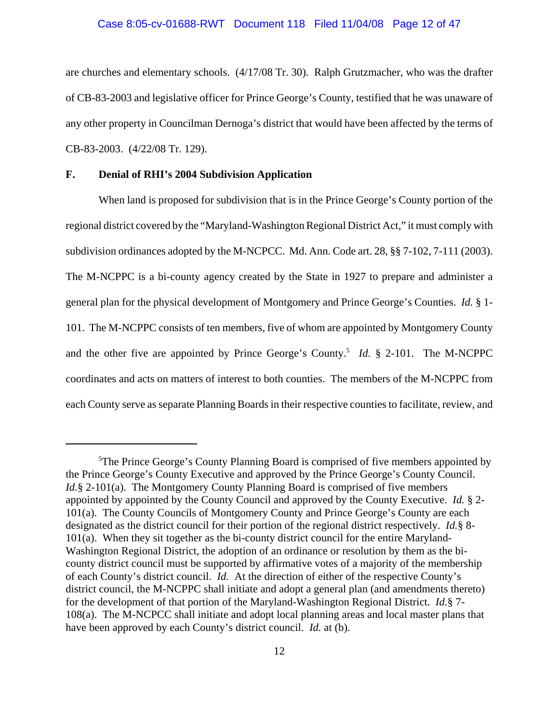### Case 8:05-cv-01688-RWT Document 118 Filed 11/04/08 Page 12 of 47

are churches and elementary schools. (4/17/08 Tr. 30). Ralph Grutzmacher, who was the drafter of CB-83-2003 and legislative officer for Prince George's County, testified that he was unaware of any other property in Councilman Dernoga's district that would have been affected by the terms of CB-83-2003. (4/22/08 Tr. 129).

#### **F. Denial of RHI's 2004 Subdivision Application**

When land is proposed for subdivision that is in the Prince George's County portion of the regional district covered by the "Maryland-Washington Regional District Act," it must comply with subdivision ordinances adopted by the M-NCPCC. Md. Ann. Code art. 28, §§ 7-102, 7-111 (2003). The M-NCPPC is a bi-county agency created by the State in 1927 to prepare and administer a general plan for the physical development of Montgomery and Prince George's Counties. *Id.* § 1- 101. The M-NCPPC consists of ten members, five of whom are appointed by Montgomery County and the other five are appointed by Prince George's County.<sup>5</sup> *Id.* § 2-101. The M-NCPPC coordinates and acts on matters of interest to both counties. The members of the M-NCPPC from each County serve as separate Planning Boards in their respective counties to facilitate, review, and

<sup>&</sup>lt;sup>5</sup>The Prince George's County Planning Board is comprised of five members appointed by the Prince George's County Executive and approved by the Prince George's County Council. *Id.*§ 2-101(a). The Montgomery County Planning Board is comprised of five members appointed by appointed by the County Council and approved by the County Executive. *Id.* § 2- 101(a). The County Councils of Montgomery County and Prince George's County are each designated as the district council for their portion of the regional district respectively. *Id.*§ 8- 101(a). When they sit together as the bi-county district council for the entire Maryland-Washington Regional District, the adoption of an ordinance or resolution by them as the bicounty district council must be supported by affirmative votes of a majority of the membership of each County's district council. *Id.* At the direction of either of the respective County's district council, the M-NCPPC shall initiate and adopt a general plan (and amendments thereto) for the development of that portion of the Maryland-Washington Regional District. *Id.*§ 7- 108(a). The M-NCPCC shall initiate and adopt local planning areas and local master plans that have been approved by each County's district council. *Id.* at (b).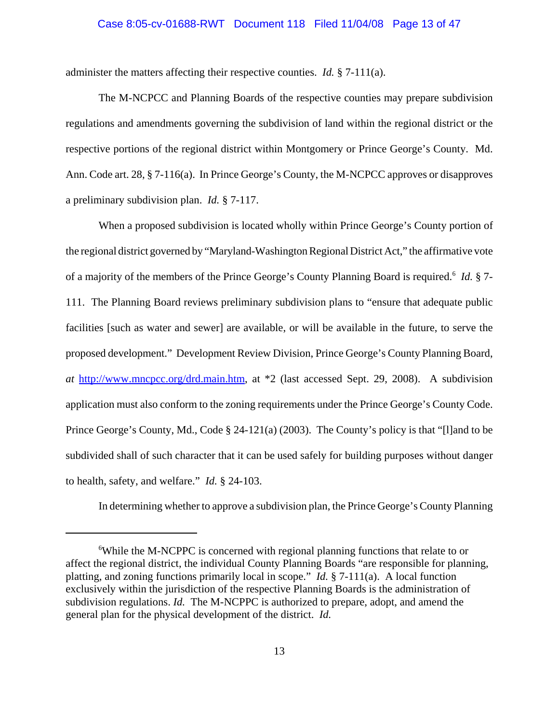### Case 8:05-cv-01688-RWT Document 118 Filed 11/04/08 Page 13 of 47

administer the matters affecting their respective counties. *Id.* § 7-111(a).

The M-NCPCC and Planning Boards of the respective counties may prepare subdivision regulations and amendments governing the subdivision of land within the regional district or the respective portions of the regional district within Montgomery or Prince George's County. Md. Ann. Code art. 28, § 7-116(a). In Prince George's County, the M-NCPCC approves or disapproves a preliminary subdivision plan. *Id.* § 7-117.

When a proposed subdivision is located wholly within Prince George's County portion of the regional district governed by "Maryland-Washington Regional District Act," the affirmative vote of a majority of the members of the Prince George's County Planning Board is required.<sup>6</sup> *Id.* § 7-111. The Planning Board reviews preliminary subdivision plans to "ensure that adequate public facilities [such as water and sewer] are available, or will be available in the future, to serve the proposed development." Development Review Division, Prince George's County Planning Board, *at* http://www.mncpcc.org/drd.main.htm, at \*2 (last accessed Sept. 29, 2008). A subdivision application must also conform to the zoning requirements under the Prince George's County Code. Prince George's County, Md., Code § 24-121(a) (2003). The County's policy is that "[l]and to be subdivided shall of such character that it can be used safely for building purposes without danger to health, safety, and welfare." *Id.* § 24-103.

In determining whether to approve a subdivision plan, the Prince George's County Planning

<sup>&</sup>lt;sup>6</sup>While the M-NCPPC is concerned with regional planning functions that relate to or affect the regional district, the individual County Planning Boards "are responsible for planning, platting, and zoning functions primarily local in scope." *Id.* § 7-111(a). A local function exclusively within the jurisdiction of the respective Planning Boards is the administration of subdivision regulations. *Id.* The M-NCPPC is authorized to prepare, adopt, and amend the general plan for the physical development of the district. *Id.*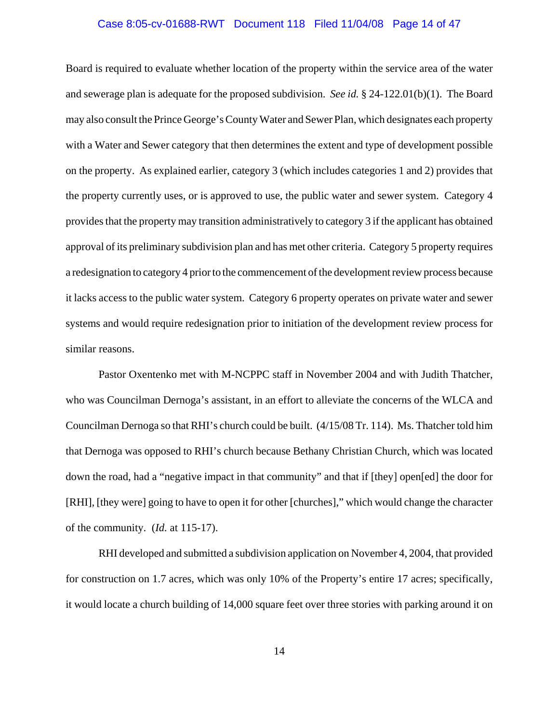### Case 8:05-cv-01688-RWT Document 118 Filed 11/04/08 Page 14 of 47

Board is required to evaluate whether location of the property within the service area of the water and sewerage plan is adequate for the proposed subdivision. *See id.* § 24-122.01(b)(1). The Board may also consult the Prince George's County Water and Sewer Plan, which designates each property with a Water and Sewer category that then determines the extent and type of development possible on the property. As explained earlier, category 3 (which includes categories 1 and 2) provides that the property currently uses, or is approved to use, the public water and sewer system. Category 4 provides that the property may transition administratively to category 3 if the applicant has obtained approval of its preliminary subdivision plan and has met other criteria. Category 5 property requires a redesignation to category 4 prior to the commencement of the development review process because it lacks access to the public water system. Category 6 property operates on private water and sewer systems and would require redesignation prior to initiation of the development review process for similar reasons.

Pastor Oxentenko met with M-NCPPC staff in November 2004 and with Judith Thatcher, who was Councilman Dernoga's assistant, in an effort to alleviate the concerns of the WLCA and Councilman Dernoga so that RHI's church could be built. (4/15/08 Tr. 114). Ms. Thatcher told him that Dernoga was opposed to RHI's church because Bethany Christian Church, which was located down the road, had a "negative impact in that community" and that if [they] open[ed] the door for [RHI], [they were] going to have to open it for other [churches]," which would change the character of the community. (*Id.* at 115-17).

RHI developed and submitted a subdivision application on November 4, 2004, that provided for construction on 1.7 acres, which was only 10% of the Property's entire 17 acres; specifically, it would locate a church building of 14,000 square feet over three stories with parking around it on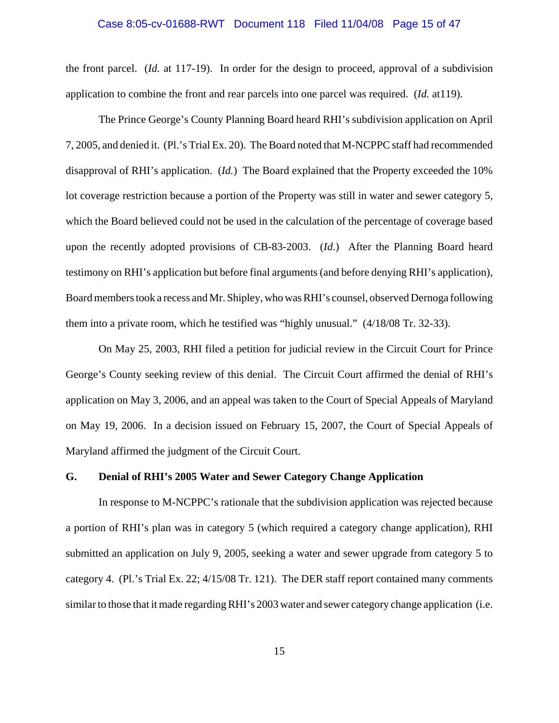### Case 8:05-cv-01688-RWT Document 118 Filed 11/04/08 Page 15 of 47

the front parcel. (*Id.* at 117-19). In order for the design to proceed, approval of a subdivision application to combine the front and rear parcels into one parcel was required. (*Id.* at119).

The Prince George's County Planning Board heard RHI's subdivision application on April 7, 2005, and denied it. (Pl.'s Trial Ex. 20). The Board noted that M-NCPPC staff had recommended disapproval of RHI's application. (*Id.*) The Board explained that the Property exceeded the 10% lot coverage restriction because a portion of the Property was still in water and sewer category 5, which the Board believed could not be used in the calculation of the percentage of coverage based upon the recently adopted provisions of CB-83-2003. (*Id*.) After the Planning Board heard testimony on RHI's application but before final arguments (and before denying RHI's application), Board members took a recess and Mr. Shipley, who was RHI's counsel, observed Dernoga following them into a private room, which he testified was "highly unusual." (4/18/08 Tr. 32-33).

On May 25, 2003, RHI filed a petition for judicial review in the Circuit Court for Prince George's County seeking review of this denial. The Circuit Court affirmed the denial of RHI's application on May 3, 2006, and an appeal was taken to the Court of Special Appeals of Maryland on May 19, 2006. In a decision issued on February 15, 2007, the Court of Special Appeals of Maryland affirmed the judgment of the Circuit Court.

### **G. Denial of RHI's 2005 Water and Sewer Category Change Application**

In response to M-NCPPC's rationale that the subdivision application was rejected because a portion of RHI's plan was in category 5 (which required a category change application), RHI submitted an application on July 9, 2005, seeking a water and sewer upgrade from category 5 to category 4. (Pl.'s Trial Ex. 22; 4/15/08 Tr. 121). The DER staff report contained many comments similar to those that it made regarding RHI's 2003 water and sewer category change application (i.e.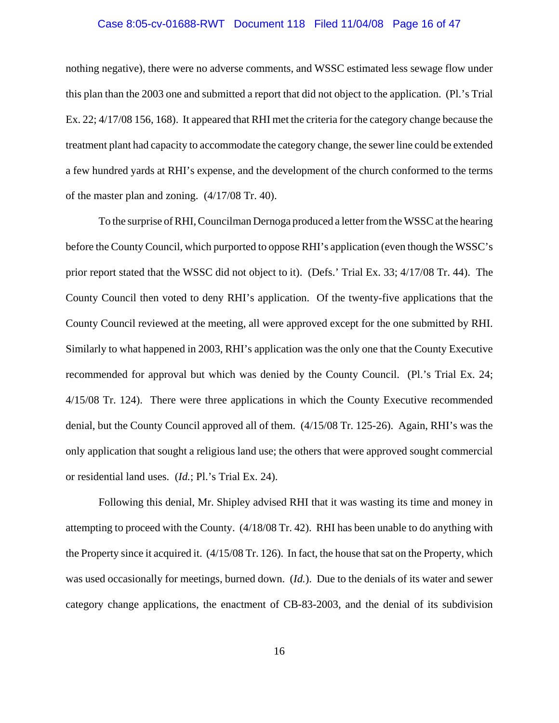### Case 8:05-cv-01688-RWT Document 118 Filed 11/04/08 Page 16 of 47

nothing negative), there were no adverse comments, and WSSC estimated less sewage flow under this plan than the 2003 one and submitted a report that did not object to the application. (Pl.'s Trial Ex. 22; 4/17/08 156, 168). It appeared that RHI met the criteria for the category change because the treatment plant had capacity to accommodate the category change, the sewer line could be extended a few hundred yards at RHI's expense, and the development of the church conformed to the terms of the master plan and zoning. (4/17/08 Tr. 40).

To the surprise of RHI, Councilman Dernoga produced a letter from the WSSC at the hearing before the County Council, which purported to oppose RHI's application (even though the WSSC's prior report stated that the WSSC did not object to it). (Defs.' Trial Ex. 33; 4/17/08 Tr. 44). The County Council then voted to deny RHI's application. Of the twenty-five applications that the County Council reviewed at the meeting, all were approved except for the one submitted by RHI. Similarly to what happened in 2003, RHI's application was the only one that the County Executive recommended for approval but which was denied by the County Council. (Pl.'s Trial Ex. 24; 4/15/08 Tr. 124). There were three applications in which the County Executive recommended denial, but the County Council approved all of them. (4/15/08 Tr. 125-26). Again, RHI's was the only application that sought a religious land use; the others that were approved sought commercial or residential land uses. (*Id.*; Pl.'s Trial Ex. 24).

Following this denial, Mr. Shipley advised RHI that it was wasting its time and money in attempting to proceed with the County. (4/18/08 Tr. 42). RHI has been unable to do anything with the Property since it acquired it. (4/15/08 Tr. 126). In fact, the house that sat on the Property, which was used occasionally for meetings, burned down. (*Id.*). Due to the denials of its water and sewer category change applications, the enactment of CB-83-2003, and the denial of its subdivision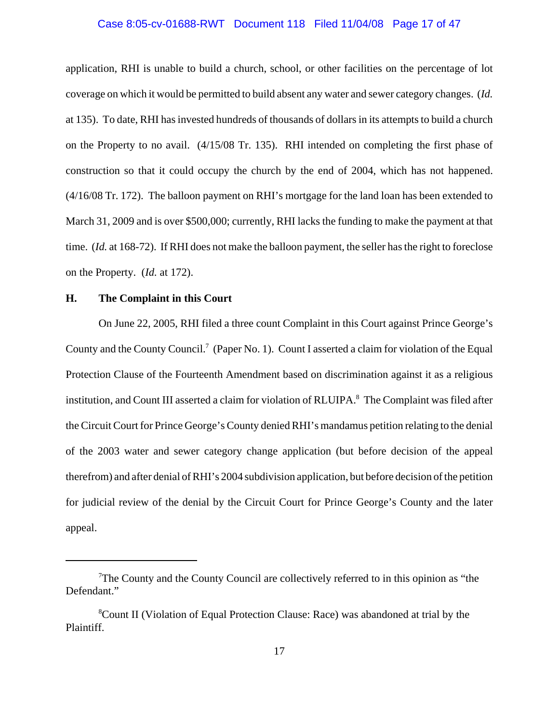### Case 8:05-cv-01688-RWT Document 118 Filed 11/04/08 Page 17 of 47

application, RHI is unable to build a church, school, or other facilities on the percentage of lot coverage on which it would be permitted to build absent any water and sewer category changes. (*Id.* at 135). To date, RHI has invested hundreds of thousands of dollars in its attempts to build a church on the Property to no avail. (4/15/08 Tr. 135). RHI intended on completing the first phase of construction so that it could occupy the church by the end of 2004, which has not happened. (4/16/08 Tr. 172). The balloon payment on RHI's mortgage for the land loan has been extended to March 31, 2009 and is over \$500,000; currently, RHI lacks the funding to make the payment at that time. (*Id.* at 168-72). If RHI does not make the balloon payment, the seller has the right to foreclose on the Property. (*Id.* at 172).

## **H. The Complaint in this Court**

On June 22, 2005, RHI filed a three count Complaint in this Court against Prince George's County and the County Council.<sup>7</sup> (Paper No. 1). Count I asserted a claim for violation of the Equal Protection Clause of the Fourteenth Amendment based on discrimination against it as a religious institution, and Count III asserted a claim for violation of RLUIPA.<sup>8</sup> The Complaint was filed after the Circuit Court for Prince George's County denied RHI's mandamus petition relating to the denial of the 2003 water and sewer category change application (but before decision of the appeal therefrom) and after denial of RHI's 2004 subdivision application, but before decision of the petition for judicial review of the denial by the Circuit Court for Prince George's County and the later appeal.

 $7$ The County and the County Council are collectively referred to in this opinion as "the Defendant."

<sup>&</sup>lt;sup>8</sup>Count II (Violation of Equal Protection Clause: Race) was abandoned at trial by the Plaintiff.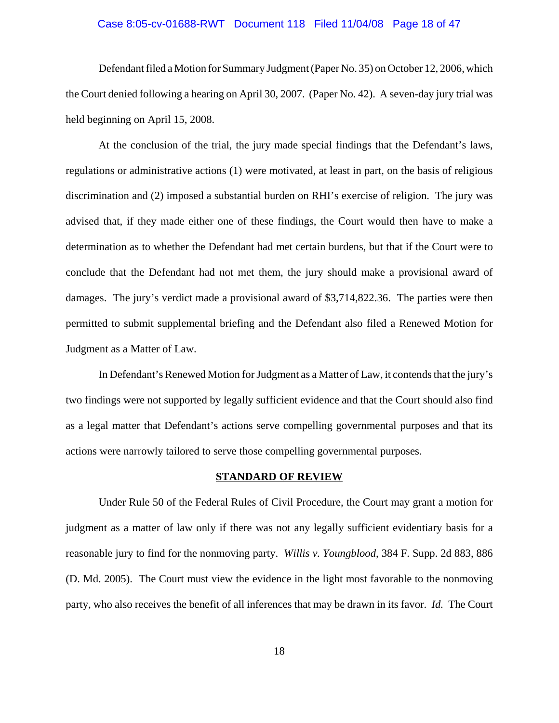### Case 8:05-cv-01688-RWT Document 118 Filed 11/04/08 Page 18 of 47

Defendant filed a Motion for Summary Judgment (Paper No. 35) on October 12, 2006, which the Court denied following a hearing on April 30, 2007. (Paper No. 42). A seven-day jury trial was held beginning on April 15, 2008.

At the conclusion of the trial, the jury made special findings that the Defendant's laws, regulations or administrative actions (1) were motivated, at least in part, on the basis of religious discrimination and (2) imposed a substantial burden on RHI's exercise of religion. The jury was advised that, if they made either one of these findings, the Court would then have to make a determination as to whether the Defendant had met certain burdens, but that if the Court were to conclude that the Defendant had not met them, the jury should make a provisional award of damages. The jury's verdict made a provisional award of \$3,714,822.36. The parties were then permitted to submit supplemental briefing and the Defendant also filed a Renewed Motion for Judgment as a Matter of Law.

In Defendant's Renewed Motion for Judgment as a Matter of Law, it contends that the jury's two findings were not supported by legally sufficient evidence and that the Court should also find as a legal matter that Defendant's actions serve compelling governmental purposes and that its actions were narrowly tailored to serve those compelling governmental purposes.

#### **STANDARD OF REVIEW**

Under Rule 50 of the Federal Rules of Civil Procedure, the Court may grant a motion for judgment as a matter of law only if there was not any legally sufficient evidentiary basis for a reasonable jury to find for the nonmoving party. *Willis v. Youngblood*, 384 F. Supp. 2d 883, 886 (D. Md. 2005). The Court must view the evidence in the light most favorable to the nonmoving party, who also receives the benefit of all inferences that may be drawn in its favor. *Id.* The Court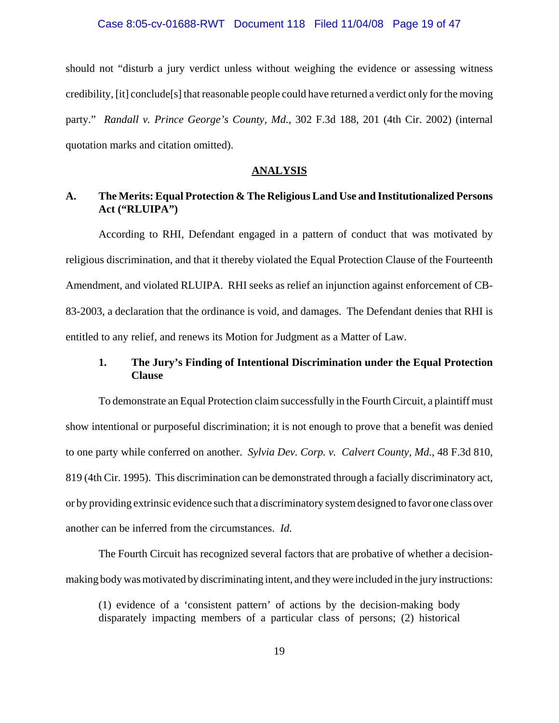### Case 8:05-cv-01688-RWT Document 118 Filed 11/04/08 Page 19 of 47

should not "disturb a jury verdict unless without weighing the evidence or assessing witness credibility, [it] conclude[s] that reasonable people could have returned a verdict only for the moving party." *Randall v. Prince George's County, Md.*, 302 F.3d 188, 201 (4th Cir. 2002) (internal quotation marks and citation omitted).

### **ANALYSIS**

# **A. The Merits: Equal Protection & The Religious Land Use and Institutionalized Persons Act ("RLUIPA")**

According to RHI, Defendant engaged in a pattern of conduct that was motivated by religious discrimination, and that it thereby violated the Equal Protection Clause of the Fourteenth Amendment, and violated RLUIPA. RHI seeks as relief an injunction against enforcement of CB-83-2003, a declaration that the ordinance is void, and damages.The Defendant denies that RHI is entitled to any relief, and renews its Motion for Judgment as a Matter of Law.

# **1. The Jury's Finding of Intentional Discrimination under the Equal Protection Clause**

To demonstrate an Equal Protection claim successfully in the Fourth Circuit, a plaintiff must show intentional or purposeful discrimination; it is not enough to prove that a benefit was denied to one party while conferred on another. *Sylvia Dev. Corp. v. Calvert County, Md.*, 48 F.3d 810, 819 (4th Cir. 1995). This discrimination can be demonstrated through a facially discriminatory act, or by providing extrinsic evidence such that a discriminatory system designed to favor one class over another can be inferred from the circumstances. *Id.*

The Fourth Circuit has recognized several factors that are probative of whether a decisionmaking body was motivated by discriminating intent, and they were included in the jury instructions:

(1) evidence of a 'consistent pattern' of actions by the decision-making body disparately impacting members of a particular class of persons; (2) historical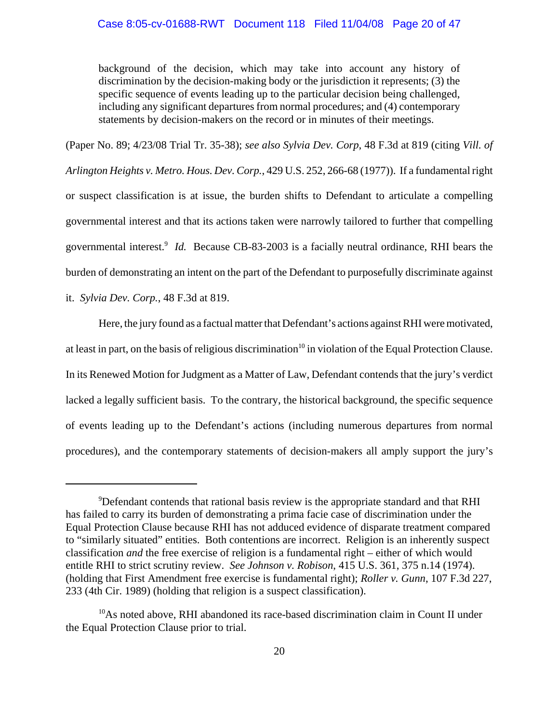background of the decision, which may take into account any history of discrimination by the decision-making body or the jurisdiction it represents; (3) the specific sequence of events leading up to the particular decision being challenged, including any significant departures from normal procedures; and (4) contemporary statements by decision-makers on the record or in minutes of their meetings.

(Paper No. 89; 4/23/08 Trial Tr. 35-38); *see also Sylvia Dev. Corp*, 48 F.3d at 819 (citing *Vill. of Arlington Heights v. Metro. Hous. Dev. Corp.*, 429 U.S. 252, 266-68 (1977)). If a fundamental right or suspect classification is at issue, the burden shifts to Defendant to articulate a compelling governmental interest and that its actions taken were narrowly tailored to further that compelling governmental interest.<sup>9</sup> *Id*. Because CB-83-2003 is a facially neutral ordinance, RHI bears the burden of demonstrating an intent on the part of the Defendant to purposefully discriminate against it. *Sylvia Dev. Corp.*, 48 F.3d at 819.

Here, the jury found as a factual matter that Defendant's actions against RHI were motivated, at least in part, on the basis of religious discrimination<sup>10</sup> in violation of the Equal Protection Clause. In its Renewed Motion for Judgment as a Matter of Law, Defendant contends that the jury's verdict lacked a legally sufficient basis. To the contrary, the historical background, the specific sequence of events leading up to the Defendant's actions (including numerous departures from normal procedures), and the contemporary statements of decision-makers all amply support the jury's

<sup>&</sup>lt;sup>9</sup>Defendant contends that rational basis review is the appropriate standard and that RHI has failed to carry its burden of demonstrating a prima facie case of discrimination under the Equal Protection Clause because RHI has not adduced evidence of disparate treatment compared to "similarly situated" entities. Both contentions are incorrect. Religion is an inherently suspect classification *and* the free exercise of religion is a fundamental right – either of which would entitle RHI to strict scrutiny review. *See Johnson v. Robison*, 415 U.S. 361, 375 n.14 (1974). (holding that First Amendment free exercise is fundamental right); *Roller v. Gunn*, 107 F.3d 227, 233 (4th Cir. 1989) (holding that religion is a suspect classification).

<sup>&</sup>lt;sup>10</sup>As noted above, RHI abandoned its race-based discrimination claim in Count II under the Equal Protection Clause prior to trial.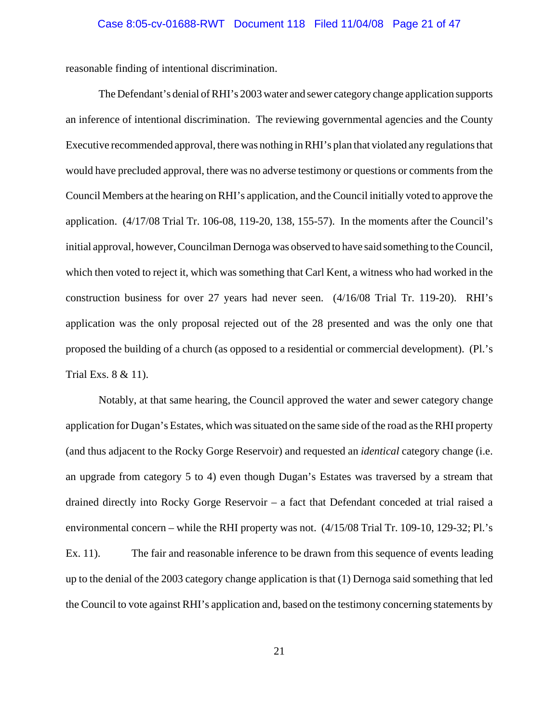reasonable finding of intentional discrimination.

The Defendant's denial of RHI's 2003 water and sewer category change application supports an inference of intentional discrimination. The reviewing governmental agencies and the County Executive recommended approval, there was nothing in RHI's plan that violated any regulations that would have precluded approval, there was no adverse testimony or questions or comments from the Council Members at the hearing on RHI's application, and the Council initially voted to approve the application. (4/17/08 Trial Tr. 106-08, 119-20, 138, 155-57). In the moments after the Council's initial approval, however, Councilman Dernoga was observed to have said something to the Council, which then voted to reject it, which was something that Carl Kent, a witness who had worked in the construction business for over 27 years had never seen. (4/16/08 Trial Tr. 119-20). RHI's application was the only proposal rejected out of the 28 presented and was the only one that proposed the building of a church (as opposed to a residential or commercial development). (Pl.'s Trial Exs. 8 & 11).

Notably, at that same hearing, the Council approved the water and sewer category change application for Dugan's Estates, which was situated on the same side of the road as the RHI property (and thus adjacent to the Rocky Gorge Reservoir) and requested an *identical* category change (i.e. an upgrade from category 5 to 4) even though Dugan's Estates was traversed by a stream that drained directly into Rocky Gorge Reservoir – a fact that Defendant conceded at trial raised a environmental concern – while the RHI property was not. (4/15/08 Trial Tr. 109-10, 129-32; Pl.'s Ex. 11). The fair and reasonable inference to be drawn from this sequence of events leading up to the denial of the 2003 category change application is that (1) Dernoga said something that led the Council to vote against RHI's application and, based on the testimony concerning statements by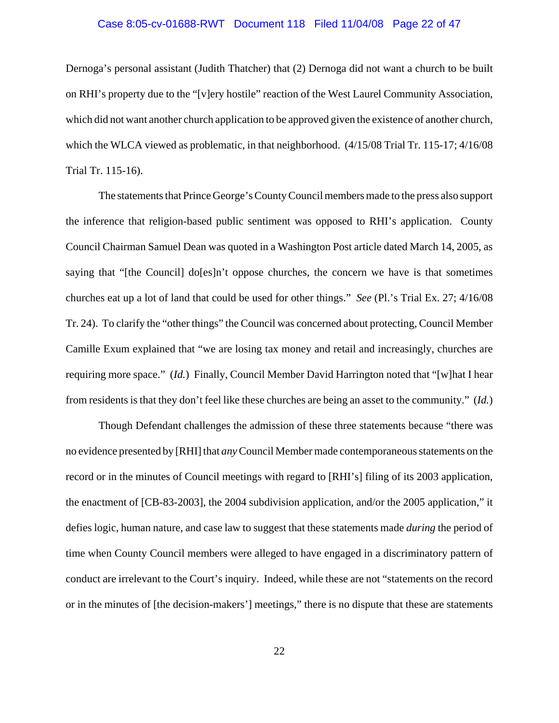### Case 8:05-cv-01688-RWT Document 118 Filed 11/04/08 Page 22 of 47

Dernoga's personal assistant (Judith Thatcher) that (2) Dernoga did not want a church to be built on RHI's property due to the "[v]ery hostile" reaction of the West Laurel Community Association, which did not want another church application to be approved given the existence of another church, which the WLCA viewed as problematic, in that neighborhood. (4/15/08 Trial Tr. 115-17; 4/16/08 Trial Tr. 115-16).

The statements that Prince George's County Council members made to the press also support the inference that religion-based public sentiment was opposed to RHI's application. County Council Chairman Samuel Dean was quoted in a Washington Post article dated March 14, 2005, as saying that "[the Council] do[es]n't oppose churches, the concern we have is that sometimes churches eat up a lot of land that could be used for other things." *See* (Pl.'s Trial Ex. 27; 4/16/08 Tr. 24). To clarify the "other things" the Council was concerned about protecting, Council Member Camille Exum explained that "we are losing tax money and retail and increasingly, churches are requiring more space." (*Id.*) Finally, Council Member David Harrington noted that "[w]hat I hear from residents is that they don't feel like these churches are being an asset to the community." (*Id.*)

Though Defendant challenges the admission of these three statements because "there was no evidence presented by [RHI] that *any* Council Member made contemporaneous statements on the record or in the minutes of Council meetings with regard to [RHI's] filing of its 2003 application, the enactment of [CB-83-2003], the 2004 subdivision application, and/or the 2005 application," it defies logic, human nature, and case law to suggest that these statements made *during* the period of time when County Council members were alleged to have engaged in a discriminatory pattern of conduct are irrelevant to the Court's inquiry. Indeed, while these are not "statements on the record or in the minutes of [the decision-makers'] meetings," there is no dispute that these are statements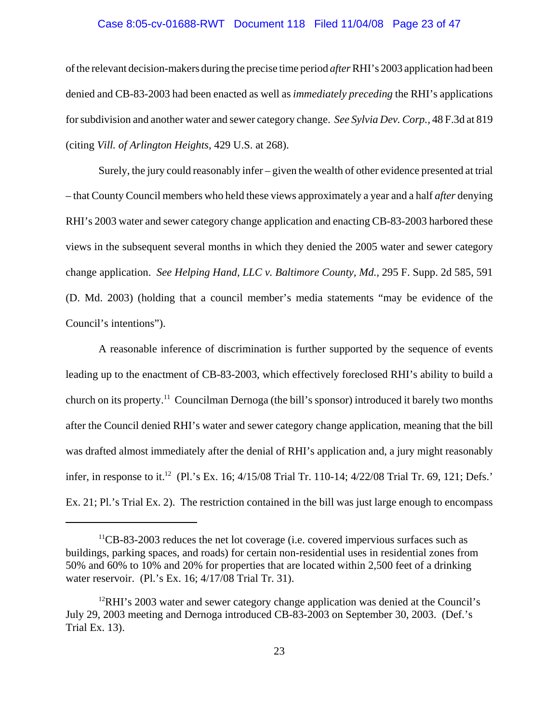### Case 8:05-cv-01688-RWT Document 118 Filed 11/04/08 Page 23 of 47

of the relevant decision-makers during the precise time period *after* RHI's 2003 application had been denied and CB-83-2003 had been enacted as well as *immediately preceding* the RHI's applications for subdivision and another water and sewer category change. *See Sylvia Dev. Corp.,* 48 F.3d at 819 (citing *Vill. of Arlington Heights,* 429 U.S. at 268).

Surely, the jury could reasonably infer – given the wealth of other evidence presented at trial – that County Council members who held these views approximately a year and a half *after* denying RHI's 2003 water and sewer category change application and enacting CB-83-2003 harbored these views in the subsequent several months in which they denied the 2005 water and sewer category change application. *See Helping Hand, LLC v. Baltimore County, Md.,* 295 F. Supp. 2d 585, 591 (D. Md. 2003) (holding that a council member's media statements "may be evidence of the Council's intentions").

A reasonable inference of discrimination is further supported by the sequence of events leading up to the enactment of CB-83-2003, which effectively foreclosed RHI's ability to build a church on its property.11 Councilman Dernoga (the bill's sponsor) introduced it barely two months after the Council denied RHI's water and sewer category change application, meaning that the bill was drafted almost immediately after the denial of RHI's application and, a jury might reasonably infer, in response to it.<sup>12</sup> (Pl.'s Ex. 16; 4/15/08 Trial Tr. 110-14; 4/22/08 Trial Tr. 69, 121; Defs.' Ex. 21; Pl.'s Trial Ex. 2). The restriction contained in the bill was just large enough to encompass

 $<sup>11</sup>CB-83-2003$  reduces the net lot coverage (i.e. covered impervious surfaces such as</sup> buildings, parking spaces, and roads) for certain non-residential uses in residential zones from 50% and 60% to 10% and 20% for properties that are located within 2,500 feet of a drinking water reservoir. (Pl.'s Ex. 16; 4/17/08 Trial Tr. 31).

 $12$ RHI's 2003 water and sewer category change application was denied at the Council's July 29, 2003 meeting and Dernoga introduced CB-83-2003 on September 30, 2003. (Def.'s Trial Ex. 13).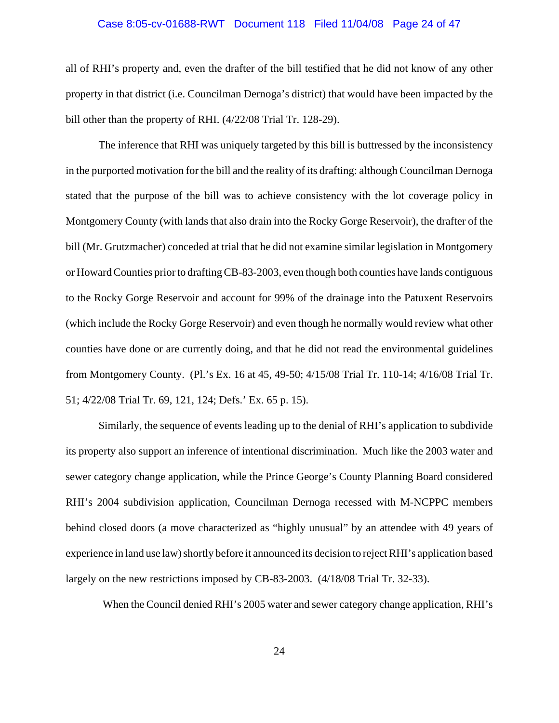### Case 8:05-cv-01688-RWT Document 118 Filed 11/04/08 Page 24 of 47

all of RHI's property and, even the drafter of the bill testified that he did not know of any other property in that district (i.e. Councilman Dernoga's district) that would have been impacted by the bill other than the property of RHI. (4/22/08 Trial Tr. 128-29).

The inference that RHI was uniquely targeted by this bill is buttressed by the inconsistency in the purported motivation for the bill and the reality of its drafting: although Councilman Dernoga stated that the purpose of the bill was to achieve consistency with the lot coverage policy in Montgomery County (with lands that also drain into the Rocky Gorge Reservoir), the drafter of the bill (Mr. Grutzmacher) conceded at trial that he did not examine similar legislation in Montgomery or Howard Counties prior to drafting CB-83-2003, even though both counties have lands contiguous to the Rocky Gorge Reservoir and account for 99% of the drainage into the Patuxent Reservoirs (which include the Rocky Gorge Reservoir) and even though he normally would review what other counties have done or are currently doing, and that he did not read the environmental guidelines from Montgomery County. (Pl.'s Ex. 16 at 45, 49-50; 4/15/08 Trial Tr. 110-14; 4/16/08 Trial Tr. 51; 4/22/08 Trial Tr. 69, 121, 124; Defs.' Ex. 65 p. 15).

Similarly, the sequence of events leading up to the denial of RHI's application to subdivide its property also support an inference of intentional discrimination. Much like the 2003 water and sewer category change application, while the Prince George's County Planning Board considered RHI's 2004 subdivision application, Councilman Dernoga recessed with M-NCPPC members behind closed doors (a move characterized as "highly unusual" by an attendee with 49 years of experience in land use law) shortly before it announced its decision to reject RHI's application based largely on the new restrictions imposed by CB-83-2003. (4/18/08 Trial Tr. 32-33).

When the Council denied RHI's 2005 water and sewer category change application, RHI's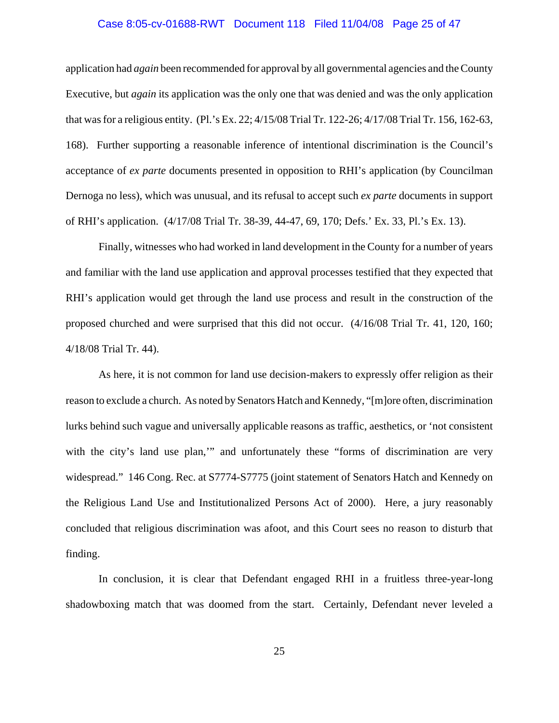### Case 8:05-cv-01688-RWT Document 118 Filed 11/04/08 Page 25 of 47

application had *again* been recommended for approval by all governmental agencies and the County Executive, but *again* its application was the only one that was denied and was the only application that was for a religious entity. (Pl.'s Ex. 22; 4/15/08 Trial Tr. 122-26; 4/17/08 Trial Tr. 156, 162-63, 168). Further supporting a reasonable inference of intentional discrimination is the Council's acceptance of *ex parte* documents presented in opposition to RHI's application (by Councilman Dernoga no less), which was unusual, and its refusal to accept such *ex parte* documents in support of RHI's application. (4/17/08 Trial Tr. 38-39, 44-47, 69, 170; Defs.' Ex. 33, Pl.'s Ex. 13).

Finally, witnesses who had worked in land development in the County for a number of years and familiar with the land use application and approval processes testified that they expected that RHI's application would get through the land use process and result in the construction of the proposed churched and were surprised that this did not occur. (4/16/08 Trial Tr. 41, 120, 160; 4/18/08 Trial Tr. 44).

As here, it is not common for land use decision-makers to expressly offer religion as their reason to exclude a church. As noted by Senators Hatch and Kennedy, "[m]ore often, discrimination lurks behind such vague and universally applicable reasons as traffic, aesthetics, or 'not consistent with the city's land use plan," and unfortunately these "forms of discrimination are very widespread." 146 Cong. Rec. at S7774-S7775 (joint statement of Senators Hatch and Kennedy on the Religious Land Use and Institutionalized Persons Act of 2000). Here, a jury reasonably concluded that religious discrimination was afoot, and this Court sees no reason to disturb that finding.

In conclusion, it is clear that Defendant engaged RHI in a fruitless three-year-long shadowboxing match that was doomed from the start. Certainly, Defendant never leveled a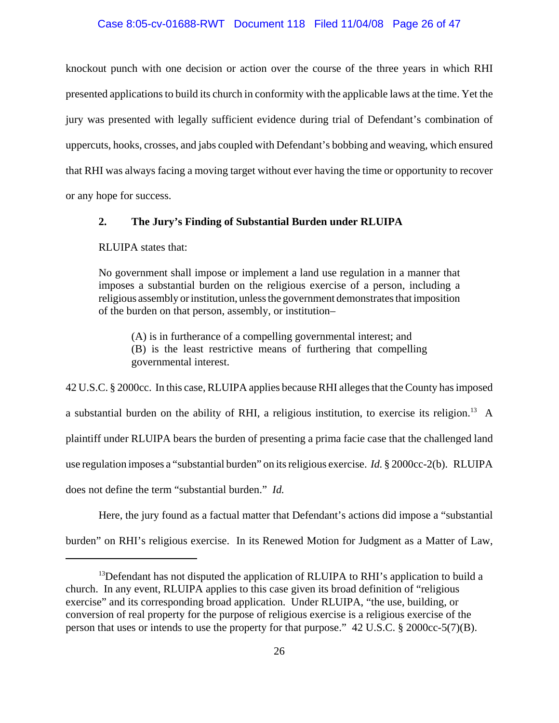### Case 8:05-cv-01688-RWT Document 118 Filed 11/04/08 Page 26 of 47

knockout punch with one decision or action over the course of the three years in which RHI presented applications to build its church in conformity with the applicable laws at the time. Yet the jury was presented with legally sufficient evidence during trial of Defendant's combination of uppercuts, hooks, crosses, and jabs coupled with Defendant's bobbing and weaving, which ensured that RHI was always facing a moving target without ever having the time or opportunity to recover or any hope for success.

# **2. The Jury's Finding of Substantial Burden under RLUIPA**

RLUIPA states that:

No government shall impose or implement a land use regulation in a manner that imposes a substantial burden on the religious exercise of a person, including a religious assembly or institution, unless the government demonstrates that imposition of the burden on that person, assembly, or institution–

(A) is in furtherance of a compelling governmental interest; and (B) is the least restrictive means of furthering that compelling governmental interest.

42 U.S.C. § 2000cc. In this case, RLUIPA applies because RHI alleges that the County has imposed a substantial burden on the ability of RHI, a religious institution, to exercise its religion.13 A plaintiff under RLUIPA bears the burden of presenting a prima facie case that the challenged land use regulation imposes a "substantial burden" on its religious exercise. *Id.* § 2000cc-2(b). RLUIPA does not define the term "substantial burden." *Id.*

Here, the jury found as a factual matter that Defendant's actions did impose a "substantial burden" on RHI's religious exercise. In its Renewed Motion for Judgment as a Matter of Law,

<sup>&</sup>lt;sup>13</sup>Defendant has not disputed the application of RLUIPA to RHI's application to build a church. In any event, RLUIPA applies to this case given its broad definition of "religious exercise" and its corresponding broad application. Under RLUIPA, "the use, building, or conversion of real property for the purpose of religious exercise is a religious exercise of the person that uses or intends to use the property for that purpose." 42 U.S.C. § 2000cc-5(7)(B).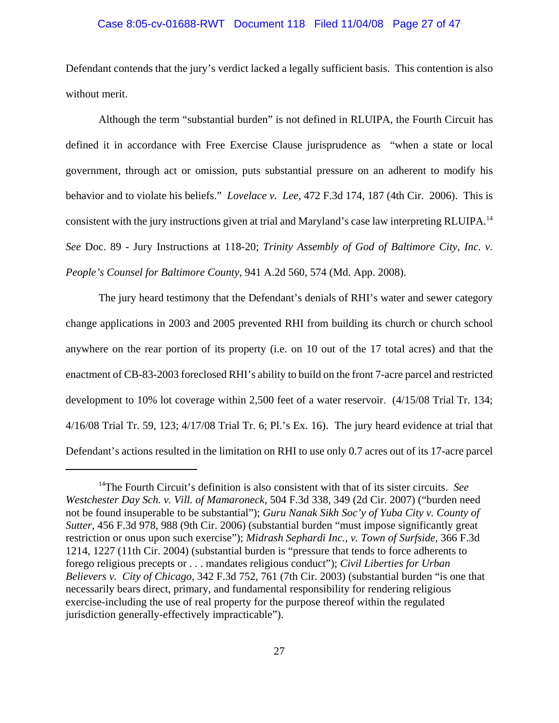### Case 8:05-cv-01688-RWT Document 118 Filed 11/04/08 Page 27 of 47

Defendant contends that the jury's verdict lacked a legally sufficient basis. This contention is also without merit.

Although the term "substantial burden" is not defined in RLUIPA, the Fourth Circuit has defined it in accordance with Free Exercise Clause jurisprudence as "when a state or local government, through act or omission, puts substantial pressure on an adherent to modify his behavior and to violate his beliefs." *Lovelace v. Lee*, 472 F.3d 174, 187 (4th Cir. 2006). This is consistent with the jury instructions given at trial and Maryland's case law interpreting RLUIPA.14 *See* Doc. 89 - Jury Instructions at 118-20; *Trinity Assembly of God of Baltimore City, Inc. v. People's Counsel for Baltimore County*, 941 A.2d 560, 574 (Md. App. 2008).

The jury heard testimony that the Defendant's denials of RHI's water and sewer category change applications in 2003 and 2005 prevented RHI from building its church or church school anywhere on the rear portion of its property (i.e. on 10 out of the 17 total acres) and that the enactment of CB-83-2003 foreclosed RHI's ability to build on the front 7-acre parcel and restricted development to 10% lot coverage within 2,500 feet of a water reservoir. (4/15/08 Trial Tr. 134; 4/16/08 Trial Tr. 59, 123; 4/17/08 Trial Tr. 6; Pl.'s Ex. 16). The jury heard evidence at trial that Defendant's actions resulted in the limitation on RHI to use only 0.7 acres out of its 17-acre parcel

<sup>14</sup>The Fourth Circuit's definition is also consistent with that of its sister circuits. *See Westchester Day Sch. v. Vill. of Mamaroneck*, 504 F.3d 338, 349 (2d Cir. 2007) ("burden need not be found insuperable to be substantial"); *Guru Nanak Sikh Soc'y of Yuba City v. County of Sutter*, 456 F.3d 978, 988 (9th Cir. 2006) (substantial burden "must impose significantly great restriction or onus upon such exercise"); *Midrash Sephardi Inc., v. Town of Surfside,* 366 F.3d 1214, 1227 (11th Cir. 2004) (substantial burden is "pressure that tends to force adherents to forego religious precepts or . . . mandates religious conduct"); *Civil Liberties for Urban Believers v. City of Chicago*, 342 F.3d 752, 761 (7th Cir. 2003) (substantial burden "is one that necessarily bears direct, primary, and fundamental responsibility for rendering religious exercise-including the use of real property for the purpose thereof within the regulated jurisdiction generally-effectively impracticable").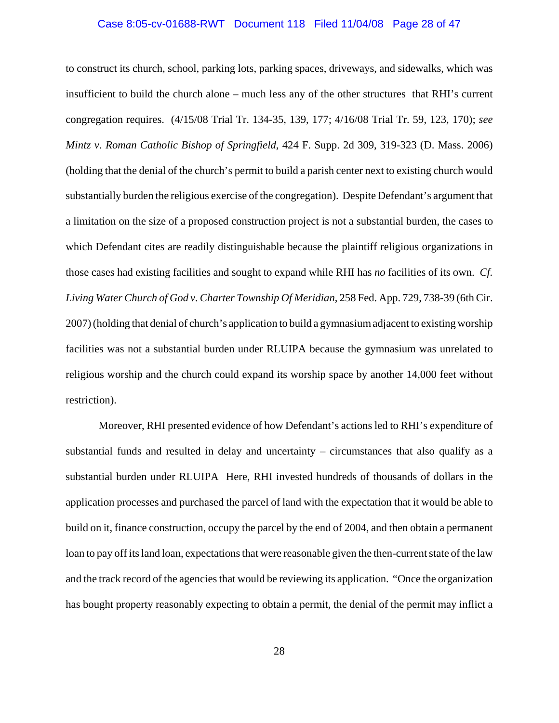### Case 8:05-cv-01688-RWT Document 118 Filed 11/04/08 Page 28 of 47

to construct its church, school, parking lots, parking spaces, driveways, and sidewalks, which was insufficient to build the church alone – much less any of the other structures that RHI's current congregation requires. (4/15/08 Trial Tr. 134-35, 139, 177; 4/16/08 Trial Tr. 59, 123, 170); *see Mintz v. Roman Catholic Bishop of Springfield*, 424 F. Supp. 2d 309, 319-323 (D. Mass. 2006) (holding that the denial of the church's permit to build a parish center next to existing church would substantially burden the religious exercise of the congregation). Despite Defendant's argument that a limitation on the size of a proposed construction project is not a substantial burden, the cases to which Defendant cites are readily distinguishable because the plaintiff religious organizations in those cases had existing facilities and sought to expand while RHI has *no* facilities of its own. *Cf. Living Water Church of God v. Charter Township Of Meridian*, 258 Fed. App. 729, 738-39 (6th Cir. 2007) (holding that denial of church's application to build a gymnasium adjacent to existing worship facilities was not a substantial burden under RLUIPA because the gymnasium was unrelated to religious worship and the church could expand its worship space by another 14,000 feet without restriction).

Moreover, RHI presented evidence of how Defendant's actions led to RHI's expenditure of substantial funds and resulted in delay and uncertainty – circumstances that also qualify as a substantial burden under RLUIPA Here, RHI invested hundreds of thousands of dollars in the application processes and purchased the parcel of land with the expectation that it would be able to build on it, finance construction, occupy the parcel by the end of 2004, and then obtain a permanent loan to pay off its land loan, expectations that were reasonable given the then-current state of the law and the track record of the agencies that would be reviewing its application. "Once the organization has bought property reasonably expecting to obtain a permit, the denial of the permit may inflict a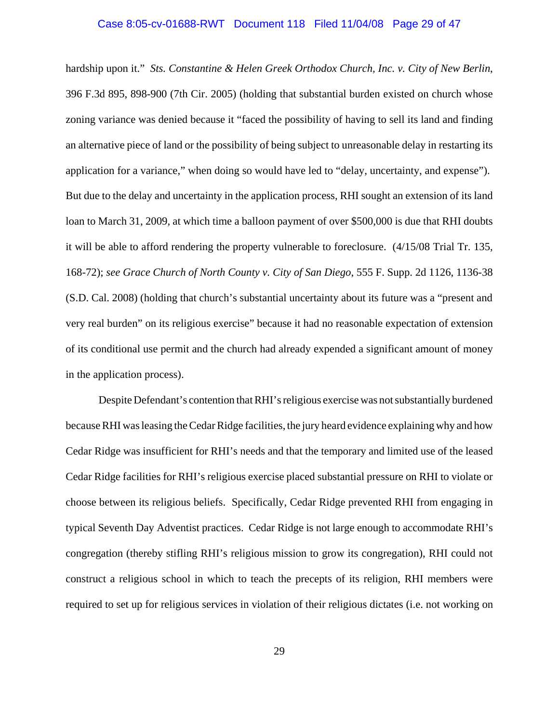### Case 8:05-cv-01688-RWT Document 118 Filed 11/04/08 Page 29 of 47

hardship upon it." *Sts. Constantine & Helen Greek Orthodox Church, Inc. v. City of New Berlin*, 396 F.3d 895, 898-900 (7th Cir. 2005) (holding that substantial burden existed on church whose zoning variance was denied because it "faced the possibility of having to sell its land and finding an alternative piece of land or the possibility of being subject to unreasonable delay in restarting its application for a variance," when doing so would have led to "delay, uncertainty, and expense"). But due to the delay and uncertainty in the application process, RHI sought an extension of its land loan to March 31, 2009, at which time a balloon payment of over \$500,000 is due that RHI doubts it will be able to afford rendering the property vulnerable to foreclosure. (4/15/08 Trial Tr. 135, 168-72); *see Grace Church of North County v. City of San Diego*, 555 F. Supp. 2d 1126, 1136-38 (S.D. Cal. 2008) (holding that church's substantial uncertainty about its future was a "present and very real burden" on its religious exercise" because it had no reasonable expectation of extension of its conditional use permit and the church had already expended a significant amount of money in the application process).

Despite Defendant's contention that RHI's religious exercise was not substantially burdened because RHI was leasing the Cedar Ridge facilities, the jury heard evidence explaining why and how Cedar Ridge was insufficient for RHI's needs and that the temporary and limited use of the leased Cedar Ridge facilities for RHI's religious exercise placed substantial pressure on RHI to violate or choose between its religious beliefs. Specifically, Cedar Ridge prevented RHI from engaging in typical Seventh Day Adventist practices. Cedar Ridge is not large enough to accommodate RHI's congregation (thereby stifling RHI's religious mission to grow its congregation), RHI could not construct a religious school in which to teach the precepts of its religion, RHI members were required to set up for religious services in violation of their religious dictates (i.e. not working on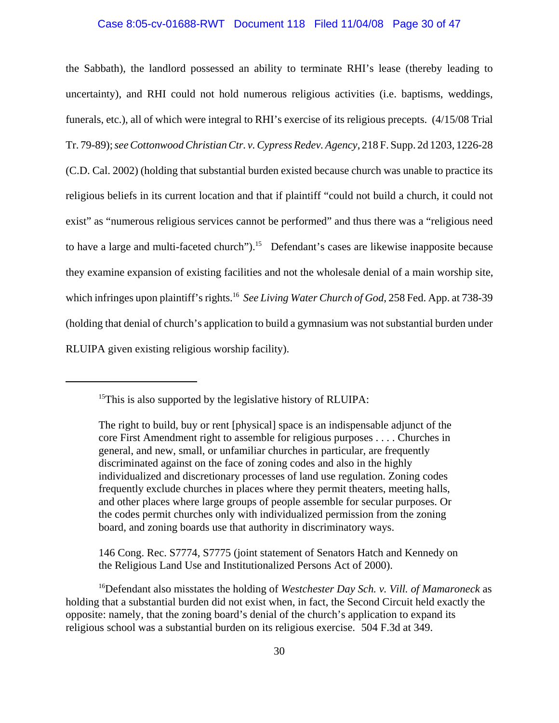### Case 8:05-cv-01688-RWT Document 118 Filed 11/04/08 Page 30 of 47

the Sabbath), the landlord possessed an ability to terminate RHI's lease (thereby leading to uncertainty), and RHI could not hold numerous religious activities (i.e. baptisms, weddings, funerals, etc.), all of which were integral to RHI's exercise of its religious precepts. (4/15/08 Trial Tr. 79-89); *see Cottonwood Christian Ctr. v. Cypress Redev. Agency*, 218 F. Supp. 2d 1203, 1226-28 (C.D. Cal. 2002) (holding that substantial burden existed because church was unable to practice its religious beliefs in its current location and that if plaintiff "could not build a church, it could not exist" as "numerous religious services cannot be performed" and thus there was a "religious need to have a large and multi-faceted church").<sup>15</sup> Defendant's cases are likewise inapposite because they examine expansion of existing facilities and not the wholesale denial of a main worship site, which infringes upon plaintiff's rights.<sup>16</sup> *See Living Water Church of God*, 258 Fed. App. at 738-39 (holding that denial of church's application to build a gymnasium was not substantial burden under RLUIPA given existing religious worship facility).

146 Cong. Rec. S7774, S7775 (joint statement of Senators Hatch and Kennedy on the Religious Land Use and Institutionalized Persons Act of 2000).

16Defendant also misstates the holding of *Westchester Day Sch. v. Vill. of Mamaroneck* as holding that a substantial burden did not exist when, in fact, the Second Circuit held exactly the opposite: namely, that the zoning board's denial of the church's application to expand its religious school was a substantial burden on its religious exercise. 504 F.3d at 349.

 $15$ This is also supported by the legislative history of RLUIPA:

The right to build, buy or rent [physical] space is an indispensable adjunct of the core First Amendment right to assemble for religious purposes . . . . Churches in general, and new, small, or unfamiliar churches in particular, are frequently discriminated against on the face of zoning codes and also in the highly individualized and discretionary processes of land use regulation. Zoning codes frequently exclude churches in places where they permit theaters, meeting halls, and other places where large groups of people assemble for secular purposes. Or the codes permit churches only with individualized permission from the zoning board, and zoning boards use that authority in discriminatory ways.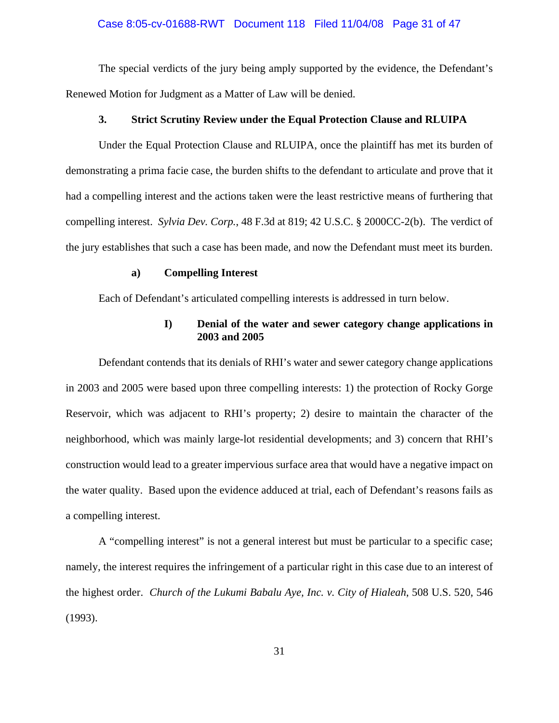### Case 8:05-cv-01688-RWT Document 118 Filed 11/04/08 Page 31 of 47

The special verdicts of the jury being amply supported by the evidence, the Defendant's Renewed Motion for Judgment as a Matter of Law will be denied.

#### **3. Strict Scrutiny Review under the Equal Protection Clause and RLUIPA**

Under the Equal Protection Clause and RLUIPA, once the plaintiff has met its burden of demonstrating a prima facie case, the burden shifts to the defendant to articulate and prove that it had a compelling interest and the actions taken were the least restrictive means of furthering that compelling interest. *Sylvia Dev. Corp.*, 48 F.3d at 819; 42 U.S.C. § 2000CC-2(b). The verdict of the jury establishes that such a case has been made, and now the Defendant must meet its burden.

### **a) Compelling Interest**

Each of Defendant's articulated compelling interests is addressed in turn below.

# **I) Denial of the water and sewer category change applications in 2003 and 2005**

Defendant contends that its denials of RHI's water and sewer category change applications in 2003 and 2005 were based upon three compelling interests: 1) the protection of Rocky Gorge Reservoir, which was adjacent to RHI's property; 2) desire to maintain the character of the neighborhood, which was mainly large-lot residential developments; and 3) concern that RHI's construction would lead to a greater impervious surface area that would have a negative impact on the water quality. Based upon the evidence adduced at trial, each of Defendant's reasons fails as a compelling interest.

A "compelling interest" is not a general interest but must be particular to a specific case; namely, the interest requires the infringement of a particular right in this case due to an interest of the highest order. *Church of the Lukumi Babalu Aye, Inc. v. City of Hialeah*, 508 U.S. 520, 546 (1993).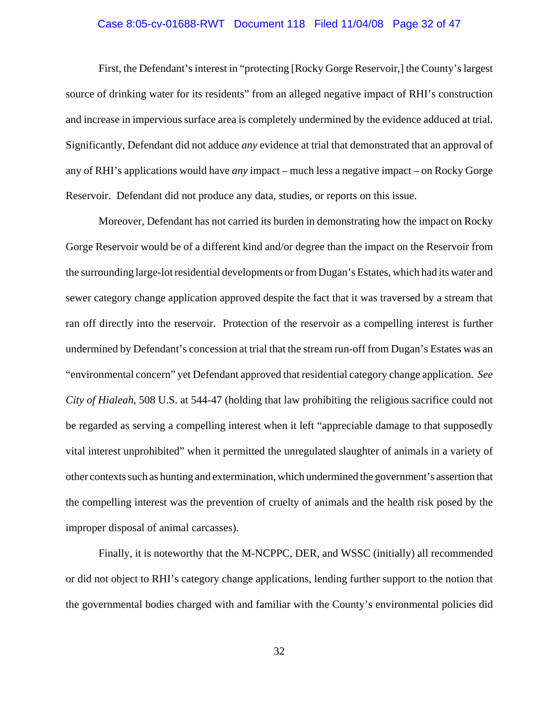### Case 8:05-cv-01688-RWT Document 118 Filed 11/04/08 Page 32 of 47

First, the Defendant's interest in "protecting [Rocky Gorge Reservoir,] the County's largest source of drinking water for its residents" from an alleged negative impact of RHI's construction and increase in impervious surface area is completely undermined by the evidence adduced at trial. Significantly, Defendant did not adduce *any* evidence at trial that demonstrated that an approval of any of RHI's applications would have *any* impact – much less a negative impact – on Rocky Gorge Reservoir. Defendant did not produce any data, studies, or reports on this issue.

Moreover, Defendant has not carried its burden in demonstrating how the impact on Rocky Gorge Reservoir would be of a different kind and/or degree than the impact on the Reservoir from the surrounding large-lot residential developments or from Dugan's Estates, which had its water and sewer category change application approved despite the fact that it was traversed by a stream that ran off directly into the reservoir. Protection of the reservoir as a compelling interest is further undermined by Defendant's concession at trial that the stream run-off from Dugan's Estates was an "environmental concern" yet Defendant approved that residential category change application. *See City of Hialeah*, 508 U.S. at 544-47 (holding that law prohibiting the religious sacrifice could not be regarded as serving a compelling interest when it left "appreciable damage to that supposedly vital interest unprohibited" when it permitted the unregulated slaughter of animals in a variety of other contexts such as hunting and extermination, which undermined the government's assertion that the compelling interest was the prevention of cruelty of animals and the health risk posed by the improper disposal of animal carcasses).

Finally, it is noteworthy that the M-NCPPC, DER, and WSSC (initially) all recommended or did not object to RHI's category change applications, lending further support to the notion that the governmental bodies charged with and familiar with the County's environmental policies did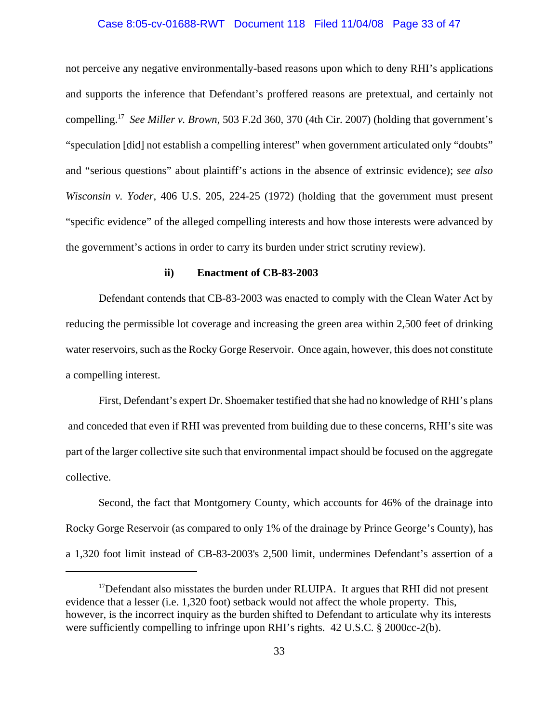### Case 8:05-cv-01688-RWT Document 118 Filed 11/04/08 Page 33 of 47

not perceive any negative environmentally-based reasons upon which to deny RHI's applications and supports the inference that Defendant's proffered reasons are pretextual, and certainly not compelling.17*See Miller v. Brown*, 503 F.2d 360, 370 (4th Cir. 2007) (holding that government's "speculation [did] not establish a compelling interest" when government articulated only "doubts" and "serious questions" about plaintiff's actions in the absence of extrinsic evidence); *see also Wisconsin v. Yoder*, 406 U.S. 205, 224-25 (1972) (holding that the government must present "specific evidence" of the alleged compelling interests and how those interests were advanced by the government's actions in order to carry its burden under strict scrutiny review).

#### **ii) Enactment of CB-83-2003**

Defendant contends that CB-83-2003 was enacted to comply with the Clean Water Act by reducing the permissible lot coverage and increasing the green area within 2,500 feet of drinking water reservoirs, such as the Rocky Gorge Reservoir. Once again, however, this does not constitute a compelling interest.

First, Defendant's expert Dr. Shoemaker testified that she had no knowledge of RHI's plans and conceded that even if RHI was prevented from building due to these concerns, RHI's site was part of the larger collective site such that environmental impact should be focused on the aggregate collective.

Second, the fact that Montgomery County, which accounts for 46% of the drainage into Rocky Gorge Reservoir (as compared to only 1% of the drainage by Prince George's County), has a 1,320 foot limit instead of CB-83-2003's 2,500 limit, undermines Defendant's assertion of a

<sup>&</sup>lt;sup>17</sup>Defendant also misstates the burden under RLUIPA. It argues that RHI did not present evidence that a lesser (i.e. 1,320 foot) setback would not affect the whole property. This, however, is the incorrect inquiry as the burden shifted to Defendant to articulate why its interests were sufficiently compelling to infringe upon RHI's rights. 42 U.S.C. § 2000cc-2(b).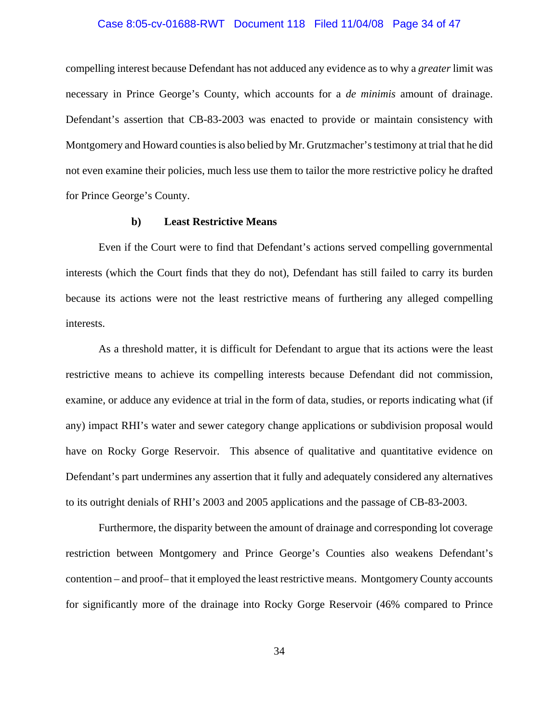### Case 8:05-cv-01688-RWT Document 118 Filed 11/04/08 Page 34 of 47

compelling interest because Defendant has not adduced any evidence as to why a *greater* limit was necessary in Prince George's County, which accounts for a *de minimis* amount of drainage. Defendant's assertion that CB-83-2003 was enacted to provide or maintain consistency with Montgomery and Howard counties is also belied by Mr. Grutzmacher's testimony at trial that he did not even examine their policies, much less use them to tailor the more restrictive policy he drafted for Prince George's County.

#### **b) Least Restrictive Means**

Even if the Court were to find that Defendant's actions served compelling governmental interests (which the Court finds that they do not), Defendant has still failed to carry its burden because its actions were not the least restrictive means of furthering any alleged compelling interests.

As a threshold matter, it is difficult for Defendant to argue that its actions were the least restrictive means to achieve its compelling interests because Defendant did not commission, examine, or adduce any evidence at trial in the form of data, studies, or reports indicating what (if any) impact RHI's water and sewer category change applications or subdivision proposal would have on Rocky Gorge Reservoir. This absence of qualitative and quantitative evidence on Defendant's part undermines any assertion that it fully and adequately considered any alternatives to its outright denials of RHI's 2003 and 2005 applications and the passage of CB-83-2003.

Furthermore, the disparity between the amount of drainage and corresponding lot coverage restriction between Montgomery and Prince George's Counties also weakens Defendant's contention – and proof– that it employed the least restrictive means. Montgomery County accounts for significantly more of the drainage into Rocky Gorge Reservoir (46% compared to Prince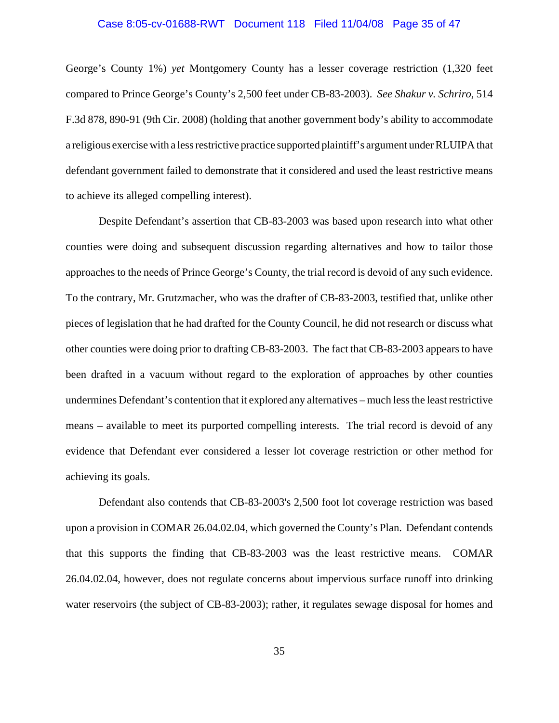### Case 8:05-cv-01688-RWT Document 118 Filed 11/04/08 Page 35 of 47

George's County 1%) *yet* Montgomery County has a lesser coverage restriction (1,320 feet compared to Prince George's County's 2,500 feet under CB-83-2003). *See Shakur v. Schriro*, 514 F.3d 878, 890-91 (9th Cir. 2008) (holding that another government body's ability to accommodate a religious exercise with a less restrictive practice supported plaintiff's argument under RLUIPA that defendant government failed to demonstrate that it considered and used the least restrictive means to achieve its alleged compelling interest).

Despite Defendant's assertion that CB-83-2003 was based upon research into what other counties were doing and subsequent discussion regarding alternatives and how to tailor those approaches to the needs of Prince George's County, the trial record is devoid of any such evidence. To the contrary, Mr. Grutzmacher, who was the drafter of CB-83-2003, testified that, unlike other pieces of legislation that he had drafted for the County Council, he did not research or discuss what other counties were doing prior to drafting CB-83-2003. The fact that CB-83-2003 appears to have been drafted in a vacuum without regard to the exploration of approaches by other counties undermines Defendant's contention that it explored any alternatives – much less the least restrictive means – available to meet its purported compelling interests. The trial record is devoid of any evidence that Defendant ever considered a lesser lot coverage restriction or other method for achieving its goals.

Defendant also contends that CB-83-2003's 2,500 foot lot coverage restriction was based upon a provision in COMAR 26.04.02.04, which governed the County's Plan. Defendant contends that this supports the finding that CB-83-2003 was the least restrictive means. COMAR 26.04.02.04, however, does not regulate concerns about impervious surface runoff into drinking water reservoirs (the subject of CB-83-2003); rather, it regulates sewage disposal for homes and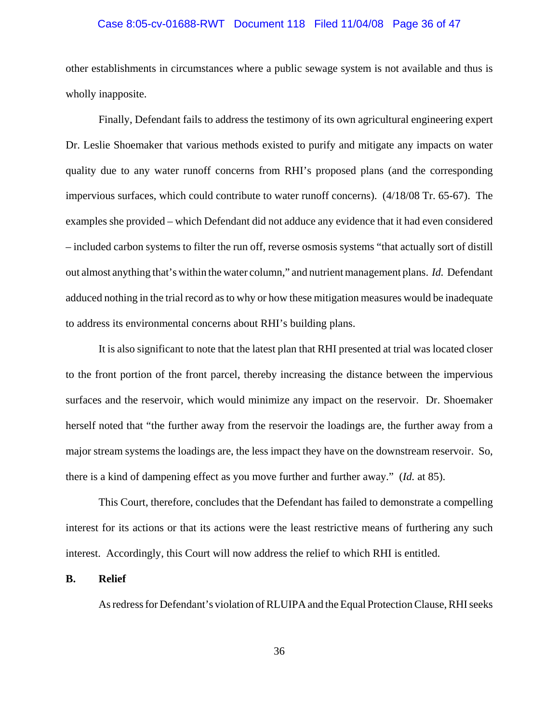### Case 8:05-cv-01688-RWT Document 118 Filed 11/04/08 Page 36 of 47

other establishments in circumstances where a public sewage system is not available and thus is wholly inapposite.

Finally, Defendant fails to address the testimony of its own agricultural engineering expert Dr. Leslie Shoemaker that various methods existed to purify and mitigate any impacts on water quality due to any water runoff concerns from RHI's proposed plans (and the corresponding impervious surfaces, which could contribute to water runoff concerns). (4/18/08 Tr. 65-67). The examples she provided – which Defendant did not adduce any evidence that it had even considered – included carbon systems to filter the run off, reverse osmosis systems "that actually sort of distill out almost anything that's within the water column," and nutrient management plans. *Id.* Defendant adduced nothing in the trial record as to why or how these mitigation measures would be inadequate to address its environmental concerns about RHI's building plans.

It is also significant to note that the latest plan that RHI presented at trial was located closer to the front portion of the front parcel, thereby increasing the distance between the impervious surfaces and the reservoir, which would minimize any impact on the reservoir. Dr. Shoemaker herself noted that "the further away from the reservoir the loadings are, the further away from a major stream systems the loadings are, the less impact they have on the downstream reservoir. So, there is a kind of dampening effect as you move further and further away." (*Id.* at 85).

This Court, therefore, concludes that the Defendant has failed to demonstrate a compelling interest for its actions or that its actions were the least restrictive means of furthering any such interest. Accordingly, this Court will now address the relief to which RHI is entitled.

## **B. Relief**

As redress for Defendant's violation of RLUIPA and the Equal Protection Clause, RHI seeks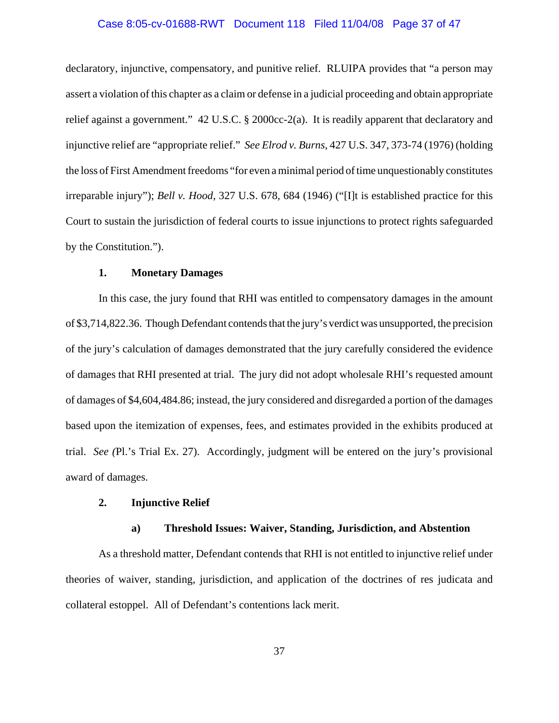### Case 8:05-cv-01688-RWT Document 118 Filed 11/04/08 Page 37 of 47

declaratory, injunctive, compensatory, and punitive relief. RLUIPA provides that "a person may assert a violation of this chapter as a claim or defense in a judicial proceeding and obtain appropriate relief against a government." 42 U.S.C. § 2000cc-2(a). It is readily apparent that declaratory and injunctive relief are "appropriate relief." *See Elrod v. Burns*, 427 U.S. 347, 373-74 (1976) (holding the loss of First Amendment freedoms "for even a minimal period of time unquestionably constitutes irreparable injury"); *Bell v. Hood,* 327 U.S. 678, 684 (1946) ("[I]t is established practice for this Court to sustain the jurisdiction of federal courts to issue injunctions to protect rights safeguarded by the Constitution.").

### **1. Monetary Damages**

In this case, the jury found that RHI was entitled to compensatory damages in the amount of \$3,714,822.36. Though Defendant contends that the jury's verdict was unsupported, the precision of the jury's calculation of damages demonstrated that the jury carefully considered the evidence of damages that RHI presented at trial. The jury did not adopt wholesale RHI's requested amount of damages of \$4,604,484.86; instead, the jury considered and disregarded a portion of the damages based upon the itemization of expenses, fees, and estimates provided in the exhibits produced at trial. *See (*Pl.'s Trial Ex. 27).Accordingly, judgment will be entered on the jury's provisional award of damages.

## **2. Injunctive Relief**

### **a) Threshold Issues: Waiver, Standing, Jurisdiction, and Abstention**

As a threshold matter, Defendant contends that RHI is not entitled to injunctive relief under theories of waiver, standing, jurisdiction, and application of the doctrines of res judicata and collateral estoppel. All of Defendant's contentions lack merit.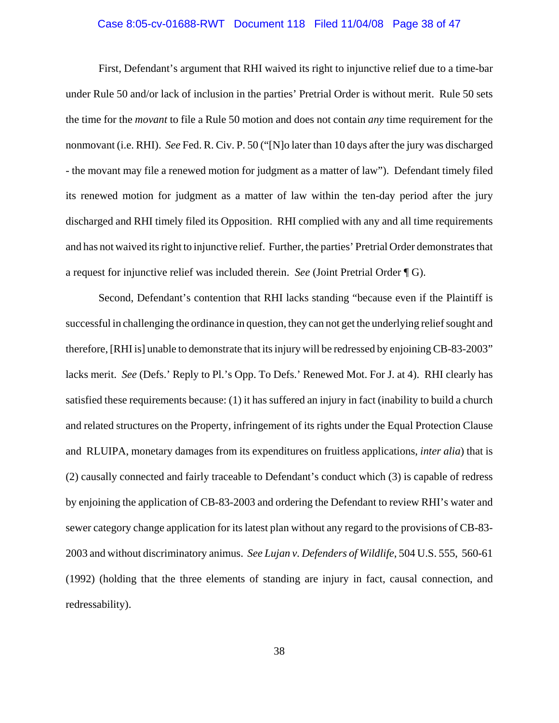### Case 8:05-cv-01688-RWT Document 118 Filed 11/04/08 Page 38 of 47

First, Defendant's argument that RHI waived its right to injunctive relief due to a time-bar under Rule 50 and/or lack of inclusion in the parties' Pretrial Order is without merit. Rule 50 sets the time for the *movant* to file a Rule 50 motion and does not contain *any* time requirement for the nonmovant (i.e. RHI). *See* Fed. R. Civ. P. 50 ("[N]o later than 10 days after the jury was discharged - the movant may file a renewed motion for judgment as a matter of law"). Defendant timely filed its renewed motion for judgment as a matter of law within the ten-day period after the jury discharged and RHI timely filed its Opposition. RHI complied with any and all time requirements and has not waived its right to injunctive relief. Further, the parties' Pretrial Order demonstrates that a request for injunctive relief was included therein. *See* (Joint Pretrial Order ¶ G).

Second, Defendant's contention that RHI lacks standing "because even if the Plaintiff is successful in challenging the ordinance in question, they can not get the underlying relief sought and therefore, [RHI is] unable to demonstrate that its injury will be redressed by enjoining CB-83-2003" lacks merit. *See* (Defs.' Reply to Pl.'s Opp. To Defs.' Renewed Mot. For J. at 4). RHI clearly has satisfied these requirements because: (1) it has suffered an injury in fact (inability to build a church and related structures on the Property, infringement of its rights under the Equal Protection Clause and RLUIPA, monetary damages from its expenditures on fruitless applications, *inter alia*) that is (2) causally connected and fairly traceable to Defendant's conduct which (3) is capable of redress by enjoining the application of CB-83-2003 and ordering the Defendant to review RHI's water and sewer category change application for its latest plan without any regard to the provisions of CB-83- 2003 and without discriminatory animus. *See Lujan v. Defenders of Wildlife*, 504 U.S. 555, 560-61 (1992) (holding that the three elements of standing are injury in fact, causal connection, and redressability).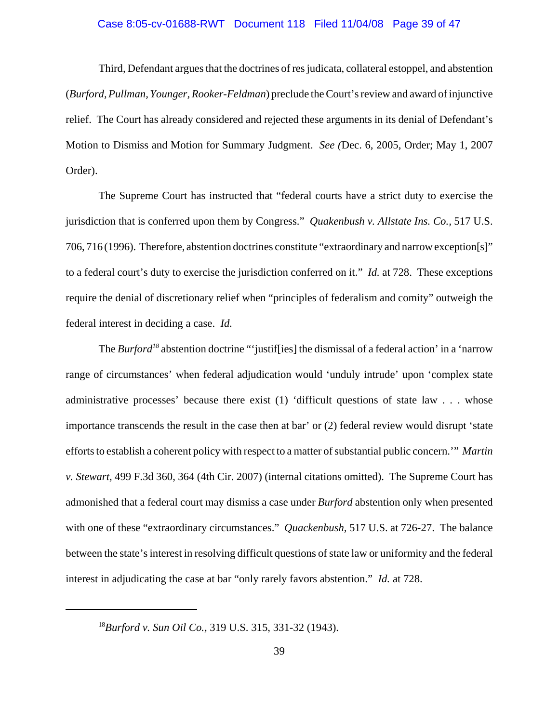### Case 8:05-cv-01688-RWT Document 118 Filed 11/04/08 Page 39 of 47

Third, Defendant argues that the doctrines of res judicata, collateral estoppel, and abstention (*Burford, Pullman, Younger, Rooker-Feldman*) preclude the Court's review and award of injunctive relief. The Court has already considered and rejected these arguments in its denial of Defendant's Motion to Dismiss and Motion for Summary Judgment. *See (*Dec. 6, 2005, Order; May 1, 2007 Order).

The Supreme Court has instructed that "federal courts have a strict duty to exercise the jurisdiction that is conferred upon them by Congress." *Quakenbush v. Allstate Ins. Co.,* 517 U.S. 706, 716 (1996). Therefore, abstention doctrines constitute "extraordinary and narrow exception[s]" to a federal court's duty to exercise the jurisdiction conferred on it." *Id.* at 728. These exceptions require the denial of discretionary relief when "principles of federalism and comity" outweigh the federal interest in deciding a case. *Id.* 

The *Burford*<sup>18</sup> abstention doctrine "'justiffies] the dismissal of a federal action' in a 'narrow range of circumstances' when federal adjudication would 'unduly intrude' upon 'complex state administrative processes' because there exist (1) 'difficult questions of state law . . . whose importance transcends the result in the case then at bar' or (2) federal review would disrupt 'state efforts to establish a coherent policy with respect to a matter of substantial public concern.'" *Martin v. Stewart,* 499 F.3d 360, 364 (4th Cir. 2007) (internal citations omitted). The Supreme Court has admonished that a federal court may dismiss a case under *Burford* abstention only when presented with one of these "extraordinary circumstances." *Quackenbush,* 517 U.S. at 726-27. The balance between the state's interest in resolving difficult questions of state law or uniformity and the federal interest in adjudicating the case at bar "only rarely favors abstention." *Id.* at 728.

<sup>18</sup>*Burford v. Sun Oil Co.,* 319 U.S. 315, 331-32 (1943).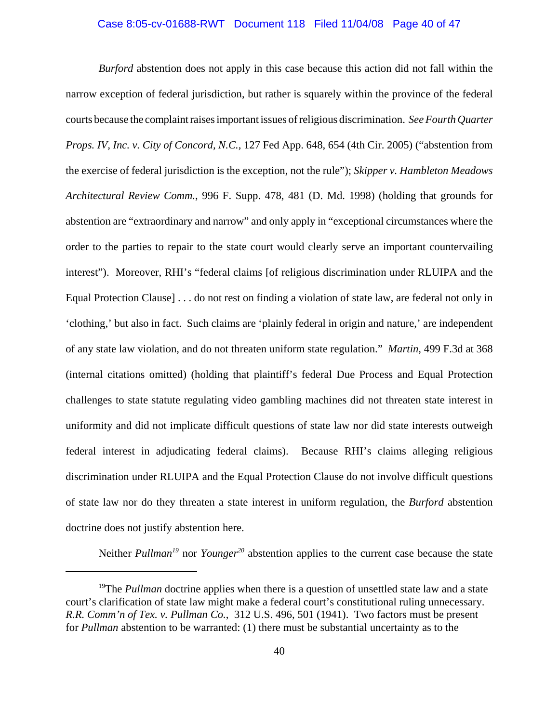### Case 8:05-cv-01688-RWT Document 118 Filed 11/04/08 Page 40 of 47

*Burford* abstention does not apply in this case because this action did not fall within the narrow exception of federal jurisdiction, but rather is squarely within the province of the federal courts because the complaint raises important issues of religious discrimination. *See Fourth Quarter Props. IV, Inc. v. City of Concord, N.C.*, 127 Fed App. 648, 654 (4th Cir. 2005) ("abstention from the exercise of federal jurisdiction is the exception, not the rule"); *Skipper v. Hambleton Meadows Architectural Review Comm.*, 996 F. Supp. 478, 481 (D. Md. 1998) (holding that grounds for abstention are "extraordinary and narrow" and only apply in "exceptional circumstances where the order to the parties to repair to the state court would clearly serve an important countervailing interest"). Moreover, RHI's "federal claims [of religious discrimination under RLUIPA and the Equal Protection Clause] . . . do not rest on finding a violation of state law, are federal not only in 'clothing,' but also in fact. Such claims are 'plainly federal in origin and nature,' are independent of any state law violation, and do not threaten uniform state regulation." *Martin,* 499 F.3d at 368 (internal citations omitted) (holding that plaintiff's federal Due Process and Equal Protection challenges to state statute regulating video gambling machines did not threaten state interest in uniformity and did not implicate difficult questions of state law nor did state interests outweigh federal interest in adjudicating federal claims). Because RHI's claims alleging religious discrimination under RLUIPA and the Equal Protection Clause do not involve difficult questions of state law nor do they threaten a state interest in uniform regulation, the *Burford* abstention doctrine does not justify abstention here.

Neither *Pullman<sup>19</sup>* nor *Younger*<sup>20</sup> abstention applies to the current case because the state

<sup>&</sup>lt;sup>19</sup>The *Pullman* doctrine applies when there is a question of unsettled state law and a state court's clarification of state law might make a federal court's constitutional ruling unnecessary. *R.R. Comm'n of Tex. v. Pullman Co.*, 312 U.S. 496, 501 (1941). Two factors must be present for *Pullman* abstention to be warranted: (1) there must be substantial uncertainty as to the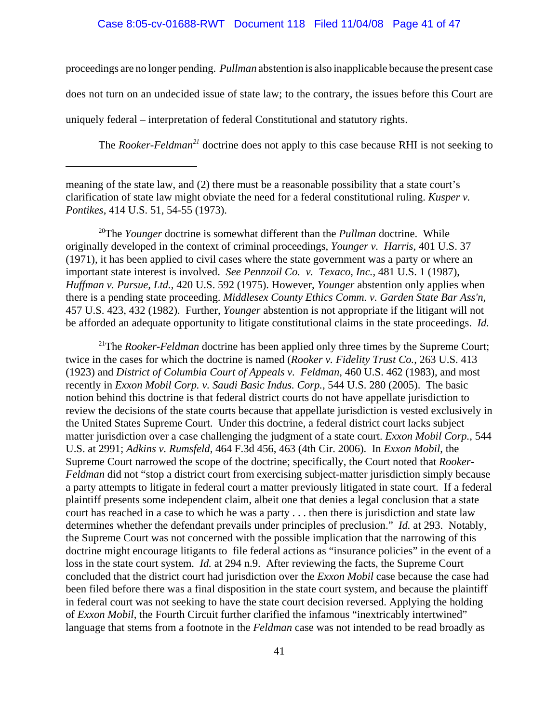### Case 8:05-cv-01688-RWT Document 118 Filed 11/04/08 Page 41 of 47

proceedings are no longer pending. *Pullman* abstention is also inapplicable because the present case does not turn on an undecided issue of state law; to the contrary, the issues before this Court are uniquely federal – interpretation of federal Constitutional and statutory rights.

The *Rooker-Feldman*<sup>21</sup> doctrine does not apply to this case because RHI is not seeking to

20The *Younger* doctrine is somewhat different than the *Pullman* doctrine. While originally developed in the context of criminal proceedings, *Younger v. Harris*, 401 U.S. 37 (1971), it has been applied to civil cases where the state government was a party or where an important state interest is involved. *See Pennzoil Co. v. Texaco, Inc.,* 481 U.S. 1 (1987), *Huffman v. Pursue, Ltd.*, 420 U.S. 592 (1975). However, *Younger* abstention only applies when there is a pending state proceeding. *Middlesex County Ethics Comm. v. Garden State Bar Ass'n*, 457 U.S. 423, 432 (1982). Further, *Younger* abstention is not appropriate if the litigant will not be afforded an adequate opportunity to litigate constitutional claims in the state proceedings. *Id.* 

<sup>21</sup>The *Rooker-Feldman* doctrine has been applied only three times by the Supreme Court; twice in the cases for which the doctrine is named (*Rooker v. Fidelity Trust Co.*, 263 U.S. 413 (1923) and *District of Columbia Court of Appeals v. Feldman*, 460 U.S. 462 (1983), and most recently in *Exxon Mobil Corp. v. Saudi Basic Indus. Corp.*, 544 U.S. 280 (2005). The basic notion behind this doctrine is that federal district courts do not have appellate jurisdiction to review the decisions of the state courts because that appellate jurisdiction is vested exclusively in the United States Supreme Court. Under this doctrine, a federal district court lacks subject matter jurisdiction over a case challenging the judgment of a state court. *Exxon Mobil Corp.*, 544 U.S. at 2991; *Adkins v. Rumsfeld*, 464 F.3d 456, 463 (4th Cir. 2006). In *Exxon Mobil*, the Supreme Court narrowed the scope of the doctrine; specifically, the Court noted that *Rooker-Feldman* did not "stop a district court from exercising subject-matter jurisdiction simply because a party attempts to litigate in federal court a matter previously litigated in state court. If a federal plaintiff presents some independent claim, albeit one that denies a legal conclusion that a state court has reached in a case to which he was a party . . . then there is jurisdiction and state law determines whether the defendant prevails under principles of preclusion." *Id.* at 293. Notably, the Supreme Court was not concerned with the possible implication that the narrowing of this doctrine might encourage litigants to file federal actions as "insurance policies" in the event of a loss in the state court system. *Id.* at 294 n.9. After reviewing the facts, the Supreme Court concluded that the district court had jurisdiction over the *Exxon Mobil* case because the case had been filed before there was a final disposition in the state court system, and because the plaintiff in federal court was not seeking to have the state court decision reversed. Applying the holding of *Exxon Mobil*, the Fourth Circuit further clarified the infamous "inextricably intertwined" language that stems from a footnote in the *Feldman* case was not intended to be read broadly as

meaning of the state law, and (2) there must be a reasonable possibility that a state court's clarification of state law might obviate the need for a federal constitutional ruling. *Kusper v. Pontikes*, 414 U.S. 51, 54-55 (1973).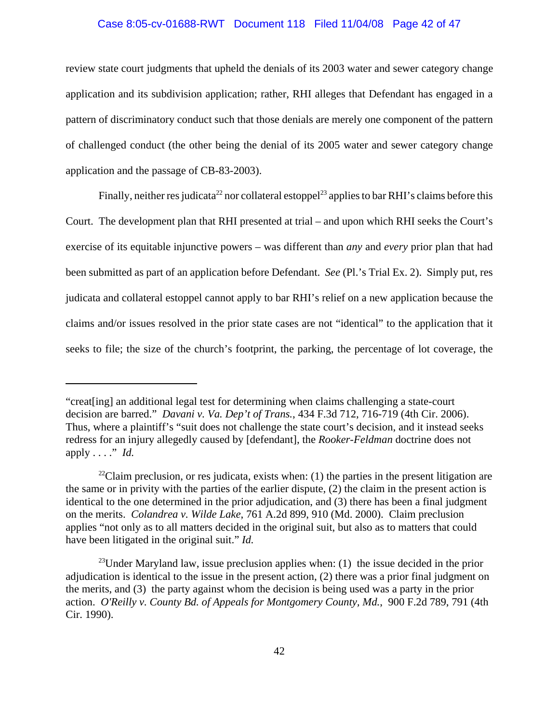### Case 8:05-cv-01688-RWT Document 118 Filed 11/04/08 Page 42 of 47

review state court judgments that upheld the denials of its 2003 water and sewer category change application and its subdivision application; rather, RHI alleges that Defendant has engaged in a pattern of discriminatory conduct such that those denials are merely one component of the pattern of challenged conduct (the other being the denial of its 2005 water and sewer category change application and the passage of CB-83-2003).

Finally, neither res judicata<sup>22</sup> nor collateral estoppel<sup>23</sup> applies to bar RHI's claims before this Court. The development plan that RHI presented at trial – and upon which RHI seeks the Court's exercise of its equitable injunctive powers – was different than *any* and *every* prior plan that had been submitted as part of an application before Defendant. *See* (Pl.'s Trial Ex. 2). Simply put, res judicata and collateral estoppel cannot apply to bar RHI's relief on a new application because the claims and/or issues resolved in the prior state cases are not "identical" to the application that it seeks to file; the size of the church's footprint, the parking, the percentage of lot coverage, the

<sup>&</sup>quot;creat[ing] an additional legal test for determining when claims challenging a state-court decision are barred." *Davani v. Va. Dep't of Trans.*, 434 F.3d 712, 716-719 (4th Cir. 2006). Thus, where a plaintiff's "suit does not challenge the state court's decision, and it instead seeks redress for an injury allegedly caused by [defendant], the *Rooker-Feldman* doctrine does not apply . . . ." *Id.*

 $^{22}$ Claim preclusion, or res judicata, exists when: (1) the parties in the present litigation are the same or in privity with the parties of the earlier dispute, (2) the claim in the present action is identical to the one determined in the prior adjudication, and (3) there has been a final judgment on the merits. *Colandrea v. Wilde Lake*, 761 A.2d 899, 910 (Md. 2000). Claim preclusion applies "not only as to all matters decided in the original suit, but also as to matters that could have been litigated in the original suit." *Id.* 

<sup>&</sup>lt;sup>23</sup>Under Maryland law, issue preclusion applies when: (1) the issue decided in the prior adjudication is identical to the issue in the present action, (2) there was a prior final judgment on the merits, and (3) the party against whom the decision is being used was a party in the prior action. *O'Reilly v. County Bd. of Appeals for Montgomery County, Md.*, 900 F.2d 789, 791 (4th Cir. 1990).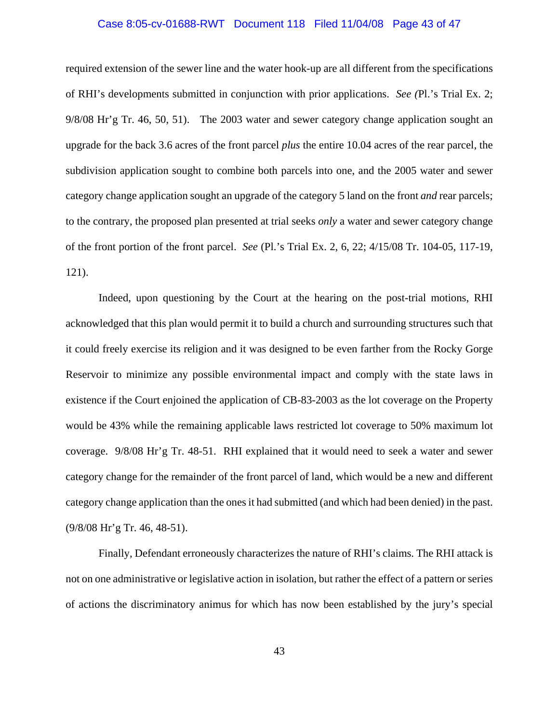### Case 8:05-cv-01688-RWT Document 118 Filed 11/04/08 Page 43 of 47

required extension of the sewer line and the water hook-up are all different from the specifications of RHI's developments submitted in conjunction with prior applications. *See (*Pl.'s Trial Ex. 2; 9/8/08 Hr'g Tr. 46, 50, 51). The 2003 water and sewer category change application sought an upgrade for the back 3.6 acres of the front parcel *plus* the entire 10.04 acres of the rear parcel, the subdivision application sought to combine both parcels into one, and the 2005 water and sewer category change application sought an upgrade of the category 5 land on the front *and* rear parcels; to the contrary, the proposed plan presented at trial seeks *only* a water and sewer category change of the front portion of the front parcel. *See* (Pl.'s Trial Ex. 2, 6, 22; 4/15/08 Tr. 104-05, 117-19, 121).

Indeed, upon questioning by the Court at the hearing on the post-trial motions, RHI acknowledged that this plan would permit it to build a church and surrounding structures such that it could freely exercise its religion and it was designed to be even farther from the Rocky Gorge Reservoir to minimize any possible environmental impact and comply with the state laws in existence if the Court enjoined the application of CB-83-2003 as the lot coverage on the Property would be 43% while the remaining applicable laws restricted lot coverage to 50% maximum lot coverage. 9/8/08 Hr'g Tr. 48-51. RHI explained that it would need to seek a water and sewer category change for the remainder of the front parcel of land, which would be a new and different category change application than the ones it had submitted (and which had been denied) in the past. (9/8/08 Hr'g Tr. 46, 48-51).

Finally, Defendant erroneously characterizes the nature of RHI's claims. The RHI attack is not on one administrative or legislative action in isolation, but rather the effect of a pattern or series of actions the discriminatory animus for which has now been established by the jury's special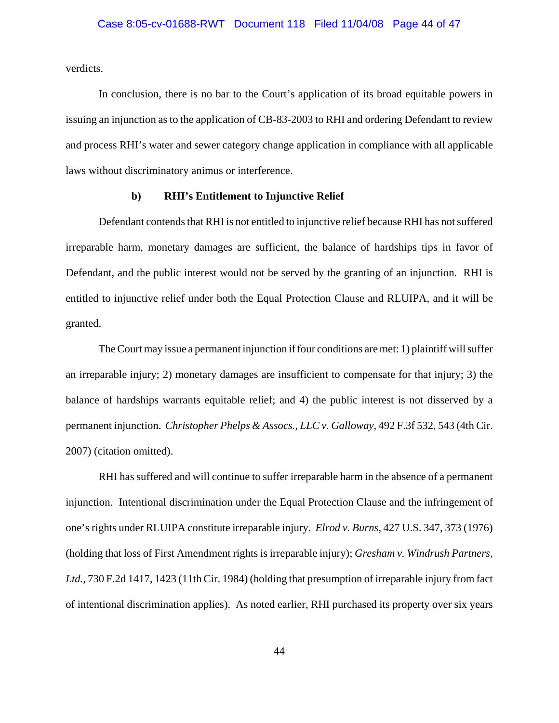verdicts.

In conclusion, there is no bar to the Court's application of its broad equitable powers in issuing an injunction as to the application of CB-83-2003 to RHI and ordering Defendant to review and process RHI's water and sewer category change application in compliance with all applicable laws without discriminatory animus or interference.

## **b) RHI's Entitlement to Injunctive Relief**

Defendant contends that RHI is not entitled to injunctive relief because RHI has not suffered irreparable harm, monetary damages are sufficient, the balance of hardships tips in favor of Defendant, and the public interest would not be served by the granting of an injunction. RHI is entitled to injunctive relief under both the Equal Protection Clause and RLUIPA, and it will be granted.

The Court may issue a permanent injunction if four conditions are met: 1) plaintiff will suffer an irreparable injury; 2) monetary damages are insufficient to compensate for that injury; 3) the balance of hardships warrants equitable relief; and 4) the public interest is not disserved by a permanent injunction. *Christopher Phelps & Assocs., LLC v. Galloway*, 492 F.3f 532, 543 (4th Cir. 2007) (citation omitted).

RHI has suffered and will continue to suffer irreparable harm in the absence of a permanent injunction. Intentional discrimination under the Equal Protection Clause and the infringement of one's rights under RLUIPA constitute irreparable injury. *Elrod v. Burns*, 427 U.S. 347, 373 (1976) (holding that loss of First Amendment rights is irreparable injury); *Gresham v. Windrush Partners, Ltd.*, 730 F.2d 1417, 1423 (11th Cir. 1984) (holding that presumption of irreparable injury from fact of intentional discrimination applies). As noted earlier, RHI purchased its property over six years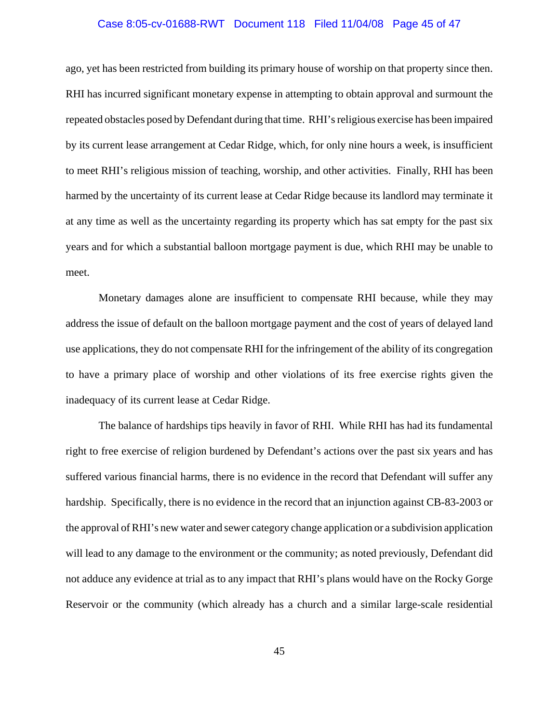### Case 8:05-cv-01688-RWT Document 118 Filed 11/04/08 Page 45 of 47

ago, yet has been restricted from building its primary house of worship on that property since then. RHI has incurred significant monetary expense in attempting to obtain approval and surmount the repeated obstacles posed by Defendant during that time. RHI's religious exercise has been impaired by its current lease arrangement at Cedar Ridge, which, for only nine hours a week, is insufficient to meet RHI's religious mission of teaching, worship, and other activities. Finally, RHI has been harmed by the uncertainty of its current lease at Cedar Ridge because its landlord may terminate it at any time as well as the uncertainty regarding its property which has sat empty for the past six years and for which a substantial balloon mortgage payment is due, which RHI may be unable to meet.

Monetary damages alone are insufficient to compensate RHI because, while they may address the issue of default on the balloon mortgage payment and the cost of years of delayed land use applications, they do not compensate RHI for the infringement of the ability of its congregation to have a primary place of worship and other violations of its free exercise rights given the inadequacy of its current lease at Cedar Ridge.

The balance of hardships tips heavily in favor of RHI. While RHI has had its fundamental right to free exercise of religion burdened by Defendant's actions over the past six years and has suffered various financial harms, there is no evidence in the record that Defendant will suffer any hardship. Specifically, there is no evidence in the record that an injunction against CB-83-2003 or the approval of RHI's new water and sewer category change application or a subdivision application will lead to any damage to the environment or the community; as noted previously, Defendant did not adduce any evidence at trial as to any impact that RHI's plans would have on the Rocky Gorge Reservoir or the community (which already has a church and a similar large-scale residential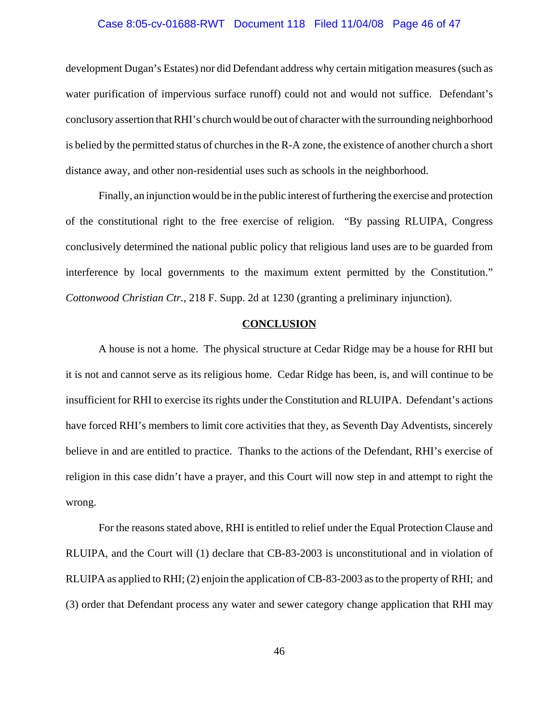### Case 8:05-cv-01688-RWT Document 118 Filed 11/04/08 Page 46 of 47

development Dugan's Estates) nor did Defendant address why certain mitigation measures (such as water purification of impervious surface runoff) could not and would not suffice. Defendant's conclusory assertion that RHI's church would be out of character with the surrounding neighborhood is belied by the permitted status of churches in the R-A zone, the existence of another church a short distance away, and other non-residential uses such as schools in the neighborhood.

Finally, an injunction would be in the public interest of furthering the exercise and protection of the constitutional right to the free exercise of religion. "By passing RLUIPA, Congress conclusively determined the national public policy that religious land uses are to be guarded from interference by local governments to the maximum extent permitted by the Constitution." *Cottonwood Christian Ctr.,* 218 F. Supp. 2d at 1230 (granting a preliminary injunction).

### **CONCLUSION**

A house is not a home. The physical structure at Cedar Ridge may be a house for RHI but it is not and cannot serve as its religious home. Cedar Ridge has been, is, and will continue to be insufficient for RHI to exercise its rights under the Constitution and RLUIPA. Defendant's actions have forced RHI's members to limit core activities that they, as Seventh Day Adventists, sincerely believe in and are entitled to practice. Thanks to the actions of the Defendant, RHI's exercise of religion in this case didn't have a prayer, and this Court will now step in and attempt to right the wrong.

For the reasons stated above, RHI is entitled to relief under the Equal Protection Clause and RLUIPA, and the Court will (1) declare that CB-83-2003 is unconstitutional and in violation of RLUIPA as applied to RHI; (2) enjoin the application of CB-83-2003 as to the property of RHI; and (3) order that Defendant process any water and sewer category change application that RHI may